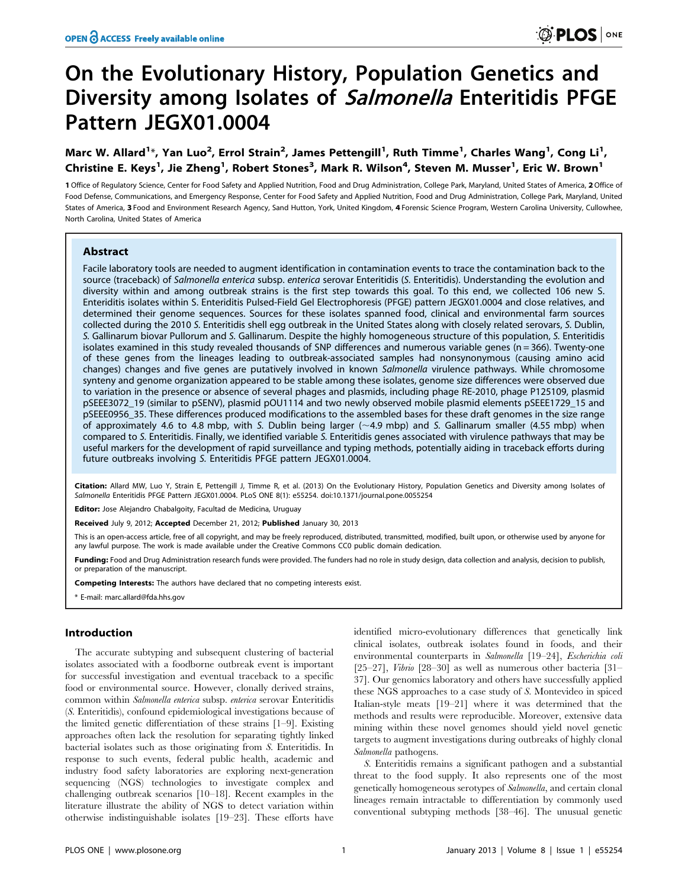# On the Evolutionary History, Population Genetics and Diversity among Isolates of Salmonella Enteritidis PFGE Pattern JEGX01.0004

Marc W. Allard<sup>1\*</sup>, Yan Luo<sup>2</sup>, Errol Strain<sup>2</sup>, James Pettengill<sup>1</sup>, Ruth Timme<sup>1</sup>, Charles Wang<sup>1</sup>, Cong Li<sup>1</sup>, Christine E. Keys<sup>1</sup>, Jie Zheng<sup>1</sup>, Robert Stones<sup>3</sup>, Mark R. Wilson<sup>4</sup>, Steven M. Musser<sup>1</sup>, Eric W. Brown<sup>1</sup>

1 Office of Regulatory Science, Center for Food Safety and Applied Nutrition, Food and Drug Administration, College Park, Maryland, United States of America, 2 Office of Food Defense, Communications, and Emergency Response, Center for Food Safety and Applied Nutrition, Food and Drug Administration, College Park, Maryland, United States of America, 3 Food and Environment Research Agency, Sand Hutton, York, United Kingdom, 4 Forensic Science Program, Western Carolina University, Cullowhee, North Carolina, United States of America

# Abstract

Facile laboratory tools are needed to augment identification in contamination events to trace the contamination back to the source (traceback) of Salmonella enterica subsp. enterica serovar Enteritidis (S. Enteritidis). Understanding the evolution and diversity within and among outbreak strains is the first step towards this goal. To this end, we collected 106 new S. Enteriditis isolates within S. Enteriditis Pulsed-Field Gel Electrophoresis (PFGE) pattern JEGX01.0004 and close relatives, and determined their genome sequences. Sources for these isolates spanned food, clinical and environmental farm sources collected during the 2010 S. Enteritidis shell egg outbreak in the United States along with closely related serovars, S. Dublin, S. Gallinarum biovar Pullorum and S. Gallinarum. Despite the highly homogeneous structure of this population, S. Enteritidis isolates examined in this study revealed thousands of SNP differences and numerous variable genes ( $n = 366$ ). Twenty-one of these genes from the lineages leading to outbreak-associated samples had nonsynonymous (causing amino acid changes) changes and five genes are putatively involved in known Salmonella virulence pathways. While chromosome synteny and genome organization appeared to be stable among these isolates, genome size differences were observed due to variation in the presence or absence of several phages and plasmids, including phage RE-2010, phage P125109, plasmid pSEEE3072\_19 (similar to pSENV), plasmid pOU1114 and two newly observed mobile plasmid elements pSEEE1729\_15 and pSEEE0956\_35. These differences produced modifications to the assembled bases for these draft genomes in the size range of approximately 4.6 to 4.8 mbp, with S. Dublin being larger  $(\sim 4.9$  mbp) and S. Gallinarum smaller (4.55 mbp) when compared to S. Enteritidis. Finally, we identified variable S. Enteritidis genes associated with virulence pathways that may be useful markers for the development of rapid surveillance and typing methods, potentially aiding in traceback efforts during future outbreaks involving S. Enteritidis PFGE pattern JEGX01.0004.

Citation: Allard MW, Luo Y, Strain E, Pettengill J, Timme R, et al. (2013) On the Evolutionary History, Population Genetics and Diversity among Isolates of Salmonella Enteritidis PFGE Pattern JEGX01.0004. PLoS ONE 8(1): e55254. doi:10.1371/journal.pone.0055254

Editor: Jose Alejandro Chabalgoity, Facultad de Medicina, Uruguay

Received July 9, 2012; Accepted December 21, 2012; Published January 30, 2013

This is an open-access article, free of all copyright, and may be freely reproduced, distributed, transmitted, modified, built upon, or otherwise used by anyone for any lawful purpose. The work is made available under the Creative Commons CC0 public domain dedication.

Funding: Food and Drug Administration research funds were provided. The funders had no role in study design, data collection and analysis, decision to publish, or preparation of the manuscript.

Competing Interests: The authors have declared that no competing interests exist.

\* E-mail: marc.allard@fda.hhs.gov

## Introduction

The accurate subtyping and subsequent clustering of bacterial isolates associated with a foodborne outbreak event is important for successful investigation and eventual traceback to a specific food or environmental source. However, clonally derived strains, common within Salmonella enterica subsp. enterica serovar Enteritidis (S. Enteritidis), confound epidemiological investigations because of the limited genetic differentiation of these strains [1–9]. Existing approaches often lack the resolution for separating tightly linked bacterial isolates such as those originating from S. Enteritidis. In response to such events, federal public health, academic and industry food safety laboratories are exploring next-generation sequencing (NGS) technologies to investigate complex and challenging outbreak scenarios [10–18]. Recent examples in the literature illustrate the ability of NGS to detect variation within otherwise indistinguishable isolates [19–23]. These efforts have

identified micro-evolutionary differences that genetically link clinical isolates, outbreak isolates found in foods, and their environmental counterparts in Salmonella [19–24], Escherichia coli [25–27], Vibrio [28–30] as well as numerous other bacteria [31– 37]. Our genomics laboratory and others have successfully applied these NGS approaches to a case study of S. Montevideo in spiced Italian-style meats [19–21] where it was determined that the methods and results were reproducible. Moreover, extensive data mining within these novel genomes should yield novel genetic targets to augment investigations during outbreaks of highly clonal Salmonella pathogens.

S. Enteritidis remains a significant pathogen and a substantial threat to the food supply. It also represents one of the most genetically homogeneous serotypes of Salmonella, and certain clonal lineages remain intractable to differentiation by commonly used conventional subtyping methods [38–46]. The unusual genetic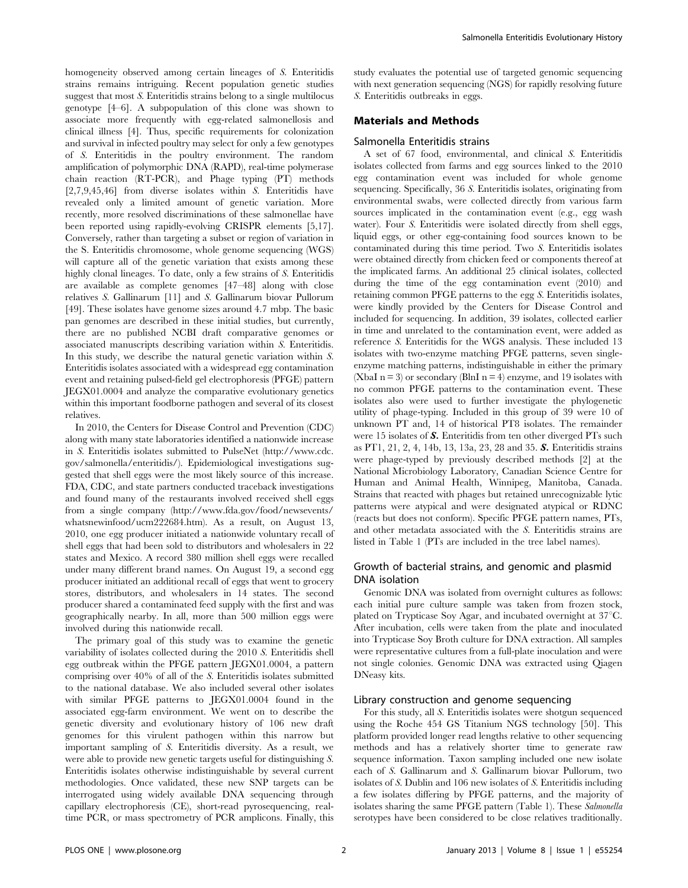homogeneity observed among certain lineages of S. Enteritidis strains remains intriguing. Recent population genetic studies suggest that most S. Enteritidis strains belong to a single multilocus genotype [4–6]. A subpopulation of this clone was shown to associate more frequently with egg-related salmonellosis and clinical illness [4]. Thus, specific requirements for colonization and survival in infected poultry may select for only a few genotypes of S. Enteritidis in the poultry environment. The random amplification of polymorphic DNA (RAPD), real-time polymerase chain reaction (RT-PCR), and Phage typing (PT) methods [2,7,9,45,46] from diverse isolates within S. Enteritidis have revealed only a limited amount of genetic variation. More recently, more resolved discriminations of these salmonellae have been reported using rapidly-evolving CRISPR elements [5,17]. Conversely, rather than targeting a subset or region of variation in the S. Enteritidis chromosome, whole genome sequencing (WGS) will capture all of the genetic variation that exists among these highly clonal lineages. To date, only a few strains of S. Enteritidis are available as complete genomes [47–48] along with close relatives S. Gallinarum [11] and S. Gallinarum biovar Pullorum [49]. These isolates have genome sizes around 4.7 mbp. The basic pan genomes are described in these initial studies, but currently, there are no published NCBI draft comparative genomes or associated manuscripts describing variation within S. Enteritidis. In this study, we describe the natural genetic variation within S. Enteritidis isolates associated with a widespread egg contamination event and retaining pulsed-field gel electrophoresis (PFGE) pattern JEGX01.0004 and analyze the comparative evolutionary genetics within this important foodborne pathogen and several of its closest relatives.

In 2010, the Centers for Disease Control and Prevention (CDC) along with many state laboratories identified a nationwide increase in S. Enteritidis isolates submitted to PulseNet (http://www.cdc. gov/salmonella/enteritidis/). Epidemiological investigations suggested that shell eggs were the most likely source of this increase. FDA, CDC, and state partners conducted traceback investigations and found many of the restaurants involved received shell eggs from a single company (http://www.fda.gov/food/newsevents/ whatsnewinfood/ucm222684.htm). As a result, on August 13, 2010, one egg producer initiated a nationwide voluntary recall of shell eggs that had been sold to distributors and wholesalers in 22 states and Mexico. A record 380 million shell eggs were recalled under many different brand names. On August 19, a second egg producer initiated an additional recall of eggs that went to grocery stores, distributors, and wholesalers in 14 states. The second producer shared a contaminated feed supply with the first and was geographically nearby. In all, more than 500 million eggs were involved during this nationwide recall.

The primary goal of this study was to examine the genetic variability of isolates collected during the 2010 S. Enteritidis shell egg outbreak within the PFGE pattern JEGX01.0004, a pattern comprising over 40% of all of the S. Enteritidis isolates submitted to the national database. We also included several other isolates with similar PFGE patterns to JEGX01.0004 found in the associated egg-farm environment. We went on to describe the genetic diversity and evolutionary history of 106 new draft genomes for this virulent pathogen within this narrow but important sampling of S. Enteritidis diversity. As a result, we were able to provide new genetic targets useful for distinguishing S. Enteritidis isolates otherwise indistinguishable by several current methodologies. Once validated, these new SNP targets can be interrogated using widely available DNA sequencing through capillary electrophoresis (CE), short-read pyrosequencing, realtime PCR, or mass spectrometry of PCR amplicons. Finally, this study evaluates the potential use of targeted genomic sequencing with next generation sequencing (NGS) for rapidly resolving future S. Enteritidis outbreaks in eggs.

## Materials and Methods

#### Salmonella Enteritidis strains

A set of 67 food, environmental, and clinical S. Enteritidis isolates collected from farms and egg sources linked to the 2010 egg contamination event was included for whole genome sequencing. Specifically, 36 S. Enteritidis isolates, originating from environmental swabs, were collected directly from various farm sources implicated in the contamination event (e.g., egg wash water). Four S. Enteritidis were isolated directly from shell eggs, liquid eggs, or other egg-containing food sources known to be contaminated during this time period. Two S. Enteritidis isolates were obtained directly from chicken feed or components thereof at the implicated farms. An additional 25 clinical isolates, collected during the time of the egg contamination event (2010) and retaining common PFGE patterns to the egg S. Enteritidis isolates, were kindly provided by the Centers for Disease Control and included for sequencing. In addition, 39 isolates, collected earlier in time and unrelated to the contamination event, were added as reference S. Enteritidis for the WGS analysis. These included 13 isolates with two-enzyme matching PFGE patterns, seven singleenzyme matching patterns, indistinguishable in either the primary (XbaI n = 3) or secondary (BlnI n = 4) enzyme, and 19 isolates with no common PFGE patterns to the contamination event. These isolates also were used to further investigate the phylogenetic utility of phage-typing. Included in this group of 39 were 10 of unknown PT and, 14 of historical PT8 isolates. The remainder were 15 isolates of S. Enteritidis from ten other diverged PTs such as PT1, 21, 2, 4, 14b, 13, 13a, 23, 28 and 35. S. Enteritidis strains were phage-typed by previously described methods [2] at the National Microbiology Laboratory, Canadian Science Centre for Human and Animal Health, Winnipeg, Manitoba, Canada. Strains that reacted with phages but retained unrecognizable lytic patterns were atypical and were designated atypical or RDNC (reacts but does not conform). Specific PFGE pattern names, PTs, and other metadata associated with the S. Enteritidis strains are listed in Table 1 (PTs are included in the tree label names).

# Growth of bacterial strains, and genomic and plasmid DNA isolation

Genomic DNA was isolated from overnight cultures as follows: each initial pure culture sample was taken from frozen stock, plated on Trypticase Soy Agar, and incubated overnight at  $37^{\circ}$ C. After incubation, cells were taken from the plate and inoculated into Trypticase Soy Broth culture for DNA extraction. All samples were representative cultures from a full-plate inoculation and were not single colonies. Genomic DNA was extracted using Qiagen DNeasy kits.

#### Library construction and genome sequencing

For this study, all S. Enteritidis isolates were shotgun sequenced using the Roche 454 GS Titanium NGS technology [50]. This platform provided longer read lengths relative to other sequencing methods and has a relatively shorter time to generate raw sequence information. Taxon sampling included one new isolate each of S. Gallinarum and S. Gallinarum biovar Pullorum, two isolates of S. Dublin and 106 new isolates of S. Enteritidis including a few isolates differing by PFGE patterns, and the majority of isolates sharing the same PFGE pattern (Table 1). These Salmonella serotypes have been considered to be close relatives traditionally.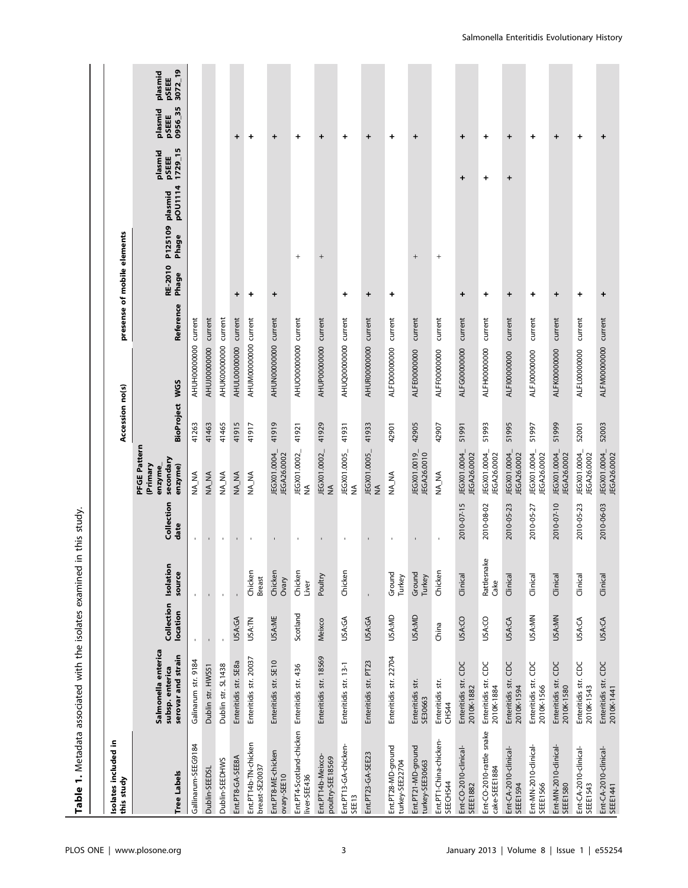| Table 1. Metadata associated with the isolates examined |                                                              |                        |                         | in this study.     |                                                            |                       |                      |                             |                  |                                     |                             |                                                                   |
|---------------------------------------------------------|--------------------------------------------------------------|------------------------|-------------------------|--------------------|------------------------------------------------------------|-----------------------|----------------------|-----------------------------|------------------|-------------------------------------|-----------------------------|-------------------------------------------------------------------|
| Isolates included in<br>this study                      |                                                              |                        |                         |                    |                                                            | Accession no(s)       |                      | presense of mobile elements |                  |                                     |                             |                                                                   |
| <b>Tree Labels</b>                                      | Salmonella enterica<br>serovar and strain<br>subsp. enterica | Collection<br>location | Isolation<br>source     | Collection<br>date | PFGE Pattern<br>secondary<br>enzyme)<br>(Primary<br>enzyme | <b>BioProject WGS</b> |                      | Reference                   | RE-2010<br>Phage | pOU1114<br>P125109 plasmid<br>Phage | 1729_15<br>plasmid<br>pSEEE | 3072_19<br>plasmid<br><b>PSEEE</b><br>0956_35<br>plasmid<br>pSEEE |
| Gallinarum-SEEG9184                                     | Galinarum str. 9184                                          |                        |                         | $\mathbf{r}$       | NA_NA                                                      | 41263                 | AHUH00000000 current |                             |                  |                                     |                             |                                                                   |
| Dublin-SEEDSL                                           | Dublin str. HWS51                                            |                        |                         | $\blacksquare$     | NA_NA                                                      | 41463                 | AHUJ00000000 current |                             |                  |                                     |                             |                                                                   |
| Dublin-SEEDHWS                                          | Dublin str. SL1438                                           |                        |                         | $\mathbf{r}$       | NA_NA                                                      | 41465                 | AHUK00000000 current |                             |                  |                                     |                             |                                                                   |
| Ent.PT8-GA-SEE8A                                        | Enteritidis str. SE8a                                        | USA:GA                 |                         | $\mathbf{r}$       | NA_NA                                                      | 41915                 | AHUL0000000 current  |                             | $\ddot{}$        |                                     |                             | $\ddot{}$                                                         |
| Ent.PT14b-TN-chicken<br>breast-SE20037                  | Enteritidis str. 20037                                       | USA:TN                 | Chicken<br>Breast       | $\mathbf{I}$       | NA_NA                                                      | 41917                 | AHUM00000000 current |                             | $\ddot{}$        |                                     |                             | $\ddot{}$                                                         |
| Ent.PT8-ME-chicken<br>ovary-SEE10                       | Enteritidis str. SE10                                        | USA:ME                 | Chicken<br><b>Ovary</b> |                    | JEGX01.0004_<br>JEGA26.0002                                | 41919                 | AHUN00000000 current |                             | ÷                |                                     |                             | $\ddot{}$                                                         |
| Ent.PT4-Scotland-chicken<br>liver-SEE436                | Enteritidis str. 436                                         | Scotland               | Chicken<br>Liver        | $\mathbf{r}$       | JEGX01.0002_<br>$\lessgtr$                                 | 41921                 | AHUO00000000 current |                             |                  | $^{+}$                              |                             | +                                                                 |
| Ent.PT14b-Meixco-<br>poultry-SEE18569                   | Enteritidis str. 18569                                       | Meixco                 | Poultry                 | $\blacksquare$     | JEGX01.0002<br>$\leq$                                      | 41929                 | AHUP00000000 current |                             |                  | $\! + \!\!\!\!$                     |                             | $\ddot{}$                                                         |
| Ent.PT13-GA-chicken-<br>SEE13                           | Enteritidis str. 13-1                                        | USA:GA                 | Chicken                 | $\mathbf{I}$       | JEGX01.0005_<br>NA                                         | 41931                 | AHUQ00000000 current |                             | +                |                                     |                             | $\ddot{}$                                                         |
| Ent.PT23-GA-SEE23                                       | Enteritidis str. PT23                                        | USA:GA                 |                         |                    | JEGX01.0005_<br>$\frac{1}{2}$                              | 41933                 | AHUR00000000 current |                             | $\ddot{}$        |                                     |                             | $\ddot{}$                                                         |
| Ent.PT28-MD-ground<br>turkey-SEE22704                   | Enteritidis str. 22704                                       | USA:MD                 | Ground<br>Turkey        | ٠                  | NA_NA                                                      | 42901                 | ALFD0000000          | current                     | $\ddot{}$        |                                     |                             | $\ddot{}$                                                         |
| Ent.PT21-MD-ground<br>turkey-SEE30663                   | Enteritidis str.<br>SE30663                                  | USA:MD                 | Ground<br>Turkey        | $\blacksquare$     | JEGX01.0019_<br>JEGA26.0010                                | 42905                 | ALFE0000000          | current                     |                  | $^{+}$                              |                             | $\ddot{}$                                                         |
| Ent.PT1-China-chicken-<br>SEECHS44                      | Enteritidis str.<br><b>CHS44</b>                             | China                  | Chicken                 | $\mathbf{I}$       | NA_NA                                                      | 42907                 | ALFF00000000         | current                     |                  | $^{+}$                              |                             |                                                                   |
| Ent-CO-2010-clinical-<br><b>SEEE1882</b>                | Enteritidis str. CDC<br>2010K-1882                           | USA:CO                 | Clinical                | 2010-07-15         | JEGX01.0004_<br>JEGA26.0002                                | 51991                 | ALFG0000000          | current                     | +                |                                     | +                           | $\ddot{}$                                                         |
| Ent-CO-2010-rattle snake<br>cake-SEEE1884               | Enteritidis str. CDC<br>2010K-1884                           | USA:CO                 | Rattlesnake<br>Cake     | 2010-08-02         | JEGX01.0004_<br>JEGA26.0002                                | 51993                 | ALFH00000000         | current                     | $\div$           |                                     | +                           | $\ddot{}$                                                         |
| Ent-CA-2010-clinical-<br>SEEE1594                       | Enteritidis str. CDC<br>2010K-1594                           | USA:CA                 | Clinical                | 2010-05-23         | JEGX01.0004_<br>JEGA26.0002                                | 51995                 | ALFI00000000         | current                     | +                |                                     | +                           | +                                                                 |
| Ent-MN-2010-dinical-<br>SEEE1566                        | Enteritidis str. CDC<br>2010K-1566                           | USA:MN                 | Clinical                | 2010-05-27         | JEGX01.0004_<br>JEGA26.0002                                | 51997                 | ALFJ0000000          | current                     | $\ddot{}$        |                                     |                             | +                                                                 |
| Ent-MN-2010-clinical-<br>SEEE1580                       | Enteritidis str. CDC<br>2010K-1580                           | USA:MN                 | Clinical                | 2010-07-10         | JEGX01.0004_<br>JEGA26.0002                                | 51999                 | ALFK00000000         | current                     | $\ddot{}$        |                                     |                             | $\ddot{}$                                                         |
| Ent-CA-2010-dinical-<br>SEEE1543                        | Enteritidis str. CDC<br>2010K-1543                           | USA:CA                 | Clinical                | 2010-05-23         | JEGX01.0004_<br>JEGA26.0002                                | 52001                 | ALFL0000000          | current                     | $\ddot{}$        |                                     |                             | $\ddot{}$                                                         |
| Ent-CA-2010-clinical-<br>SEEE1441                       | Enteritidis str. CDC<br>2010K-1441                           | USA:CA                 | Clinical                | 2010-06-03         | JEGX01.0004_<br>JEGA26.0002                                | 52003                 | ALFM00000000 current |                             | +                |                                     |                             | +                                                                 |

# PLOS ONE | www.plosone.org | www.plosone.org | 3 | 3 | January 2013 | Volume 8 | Issue 1 | e55254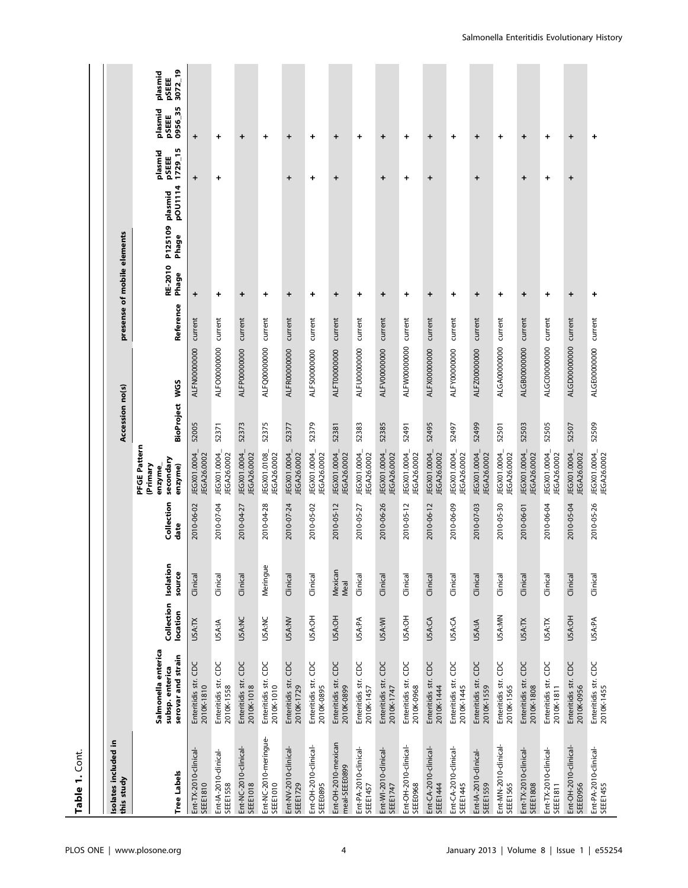| Table 1. Cont.                           |                                                              |                        |                     |                    |                                                            |                 |                      |                             |                  |                                     |                                 |                                                           |
|------------------------------------------|--------------------------------------------------------------|------------------------|---------------------|--------------------|------------------------------------------------------------|-----------------|----------------------|-----------------------------|------------------|-------------------------------------|---------------------------------|-----------------------------------------------------------|
|                                          |                                                              |                        |                     |                    |                                                            |                 |                      |                             |                  |                                     |                                 |                                                           |
| Isolates included in<br>this study       |                                                              |                        |                     |                    |                                                            | Accession no(s) |                      | presense of mobile elements |                  |                                     |                                 |                                                           |
| <b>Tree Labels</b>                       | Salmonella enterica<br>serovar and strain<br>subsp. enterica | Collection<br>location | Isolation<br>source | Collection<br>date | PFGE Pattern<br>secondary<br>(Primary<br>enzyme)<br>enzyme | BioProject WGS  |                      | Reference                   | RE-2010<br>Phage | pOU1114<br>P125109 plasmid<br>Phage | m<br>plasmid<br>1729_1<br>pSEEE | 3072_19<br>plasmid<br>pSEEE<br>095635<br>plasmid<br>pSEEE |
| Ent-TX-2010-clinical<br><b>SEEE1810</b>  | Enteritidis str. CDC<br>2010K-1810                           | <b>USA:TX</b>          | Clinical            | 2010-06-02         | JEGX01.0004<br>JEGA26.0002                                 | 52005           | ALFN00000000         | current                     | $\ddot{}$        |                                     | $\ddot{}$                       | $\ddot{}$                                                 |
| Ent-IA-2010-clinical-<br><b>SEEE1558</b> | Enteritidis str. CDC<br>2010K-1558                           | <b>USA:IA</b>          | Clinical            | 2010-07-04         | JEGX01.0004_<br>JEGA26.0002                                | 52371           | ALFO00000000         | current                     | +                |                                     | +                               | $\ddot{}$                                                 |
| Ent-NC-2010-clinical-<br><b>SEEE1018</b> | Enteritidis str. CDC<br>2010K-1018                           | <b>USA:NC</b>          | Clinical            | 2010-04-27         | JEGX01.0004_<br>JEGA26.0002                                | 52373           | ALFP00000000         | current                     | +                |                                     |                                 | +                                                         |
| Ent-NC-2010-meringue-<br>SEEE1010        | Enteritidis str. CDC<br>2010K-1010                           | USA:NC                 | Meringue            | 2010-04-28         | JEGX01.0108<br>JEGA26.0002                                 | 52375           | ALFQ00000000         | current                     | +                |                                     |                                 | +                                                         |
| Ent-NV-2010-clinical-<br><b>SEEE1729</b> | Enteritidis str. CDC<br>2010K-1729                           | <b>USA:NV</b>          | Clinical            | 2010-07-24         | JEGX01.0004<br>JEGA26.0002                                 | 52377           | ALFR00000000         | current                     | $\ddot{}$        |                                     | +                               | $\ddot{}$                                                 |
| Ent-OH-2010-dinical-<br>SEEE0895         | Enteritidis str. CDC<br>2010K-0895                           | USA:OH                 | Clinical            | 2010-05-02         | JEGX01.0004_<br>JEGA26.0002                                | 52379           | ALFS00000000         | current                     | +                |                                     | +                               | $\ddot{}$                                                 |
| Ent-OH-2010-mexican<br>meal-SEEE0899     | Enteritidis str. CDC<br>2010K-0899                           | USA:OH                 | Mexican<br>Meal     | 2010-05-12         | JEGX01.0004_<br>JEGA26.0002                                | 52381           | ALFT00000000         | current                     | +                |                                     | +                               | $\ddot{}$                                                 |
| Ent-PA-2010-clinical-<br>SEEE1457        | Enteritidis str. CDC<br>2010K-1457                           | USA:PA                 | Clinical            | 2010-05-27         | JEGX01.0004<br>JEGA26.0002                                 | 52383           | ALFU00000000         | current                     | $\div$           |                                     |                                 | $\ddot{}$                                                 |
| Ent-WI-2010-clinical<br>SEEE1747         | Enteritidis str. CDC<br>2010K-1747                           | USA:WI                 | Clinical            | 2010-06-26         | JEGX01.0004<br>JEGA26.0002                                 | 52385           | ALFV00000000         | current                     | +                |                                     | +                               | $\ddot{}$                                                 |
| Ent-OH-2010-clinical-<br>SEEE0968        | Enteritidis str. CDC<br>2010K-0968                           | USA:OH                 | Clinical            | 2010-05-12         | JEGX01.0004<br>JEGA26.0002                                 | 52491           | ALFW00000000 current |                             | $\pmb{+}$        |                                     | +                               | $\ddot{}$                                                 |
| Ent-CA-2010-clinical<br>SEEE1444         | Enteritidis str. CDC<br>2010K-1444                           | USA:CA                 | Clinical            | 2010-06-12         | JEGX01.0004_<br>JEGA26.0002                                | 52495           | ALFX00000000         | current                     | $\ddot{}$        |                                     | +                               | +                                                         |
| Ent-CA-2010-dinical-<br><b>SEEE1445</b>  | Enteritidis str. CDC<br>2010K-1445                           | USA:CA                 | Clinical            | 2010-06-09         | JEGX01.0004_<br>JEGA26.0002                                | 52497           | ALFY0000000          | current                     | $\ddot{}$        |                                     |                                 | +                                                         |
| Ent-IA-2010-clinical-<br><b>SEEE1559</b> | Enteritidis str. CDC<br>2010K-1559                           | USA:IA                 | Clinical            | 2010-07-03         | JEGX01.0004<br><b>JEGA26.0002</b>                          | 52499           | ALFZ00000000         | current                     | +                |                                     | +                               | +                                                         |
| Ent-MN-2010-clinical-<br>SEEE1565        | Enteritidis str. CDC<br>2010K-1565                           | USA:MN                 | Clinical            | 2010-05-30         | JEGX01.0004_<br>JEGA26.0002                                | 52501           | ALGA0000000          | current                     | $\ddot{}$        |                                     |                                 | $\ddot{}$                                                 |
| Ent-TX-2010-clinical-<br><b>SEEE1808</b> | Enteritidis str. CDC<br>2010K-1808                           | USA:TX                 | Clinical            | 2010-06-01         | JEGX01.0004_<br>JEGA26.0002                                | 52503           | ALGB00000000         | current                     | $\ddot{}$        |                                     | $\ddot{}$                       | $\ddot{}$                                                 |
| Ent-TX-2010-clinical-<br><b>SEEE1811</b> | Enteritidis str. CDC<br>2010K-1811                           | USA:TX                 | Clinical            | 2010-06-04         | JEGX01.0004_<br>JEGA26.0002                                | 52505           | ALGC00000000         | current                     | +                |                                     | +                               | +                                                         |
| Ent-OH-2010-dinical-<br>SEEE0956         | Enteritidis str. CDC<br>2010K-0956                           | USA:OH                 | Clinical            | 2010-05-04         | JEGX01.0004_<br>JEGA26.0002                                | 52507           | ALGD00000000         | current                     | +                |                                     | +                               | $\ddot{}$                                                 |
| Ent-PA-2010-clinical-<br>SEEE1455        | Enteritidis str. CDC<br>2010K-1455                           | USA:PA                 | Clinical            | 2010-05-26         | JEGX01.0004_<br>JEGA26.0002                                | 52509           | ALGE00000000 current |                             | $\ddot{}$        |                                     |                                 | $\div$                                                    |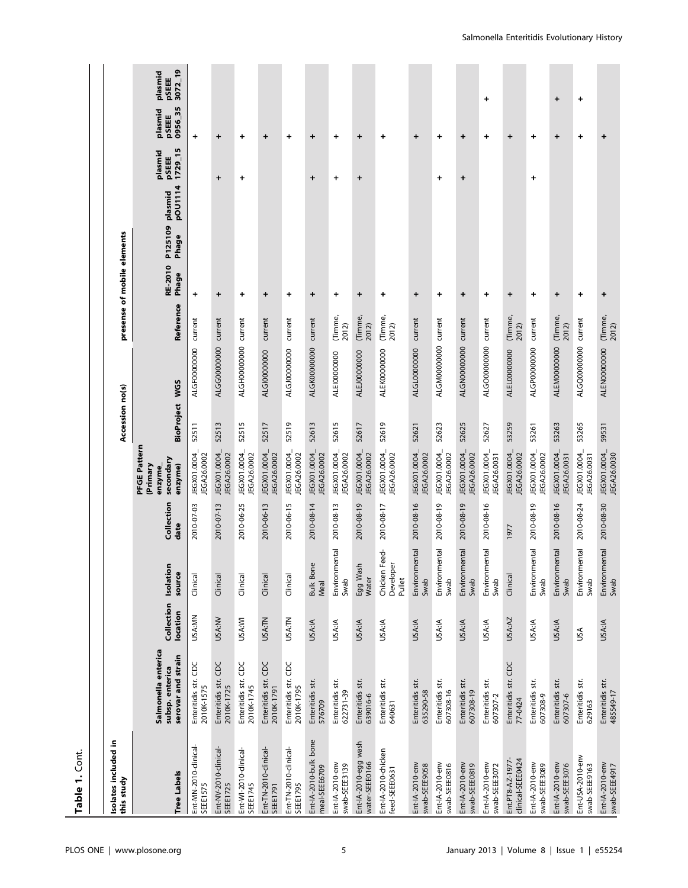| Table 1. Cont.                           |                                                              |                        |                                      |                    |                                                            |                 |                      |                  |                             |                                     |                             |           |                                                                          |  |
|------------------------------------------|--------------------------------------------------------------|------------------------|--------------------------------------|--------------------|------------------------------------------------------------|-----------------|----------------------|------------------|-----------------------------|-------------------------------------|-----------------------------|-----------|--------------------------------------------------------------------------|--|
|                                          |                                                              |                        |                                      |                    |                                                            |                 |                      |                  |                             |                                     |                             |           |                                                                          |  |
| Isolates included in<br>this study       |                                                              |                        |                                      |                    |                                                            | Accession no(s) |                      |                  | presense of mobile elements |                                     |                             |           |                                                                          |  |
| <b>Tree Labels</b>                       | Salmonella enterica<br>serovar and strain<br>subsp. enterica | Collection<br>location | Isolation<br>source                  | Collection<br>date | PFGE Pattern<br>secondary<br>(Primary<br>enzyme)<br>enzyme | BioProject WGS  |                      | Reference        | RE-2010<br>Phage            | pOU1114<br>P125109 plasmid<br>Phage | 1729_15<br>plasmid<br>pSEEE |           | 3072_19<br>plasmid<br><b>PSEEE</b><br>0956 35<br>plasmid<br><b>PSEEE</b> |  |
| Ent-MN-2010-clinical-<br><b>SEEE1575</b> | Enteritidis str. CDC<br>2010K-1575                           | USA:MN                 | Clinical                             | 2010-07-03         | JEGX01.0004<br>JEGA26.0002                                 | 52511           | ALGF00000000         | current          | +                           |                                     |                             | $\ddot{}$ |                                                                          |  |
| Ent-NV-2010-clinical-<br><b>SEEE1725</b> | Enteritidis str. CDC<br>2010K-1725                           | USA:NV                 | Clinical                             | 2010-07-13         | JEGX01.0004_<br>JEGA26.0002                                | 52513           | ALGG0000000          | current          | +                           |                                     | +                           | $\ddot{}$ |                                                                          |  |
| Ent-WI-2010-clinical-<br><b>SEEE1745</b> | Enteritidis str. CDC<br>2010K-1745                           | USA:WI                 | Clinical                             | 2010-06-25         | JEGX01.0004_<br>JEGA26.0002                                | 52515           | ALGH00000000         | current          | $\ddot{}$                   |                                     | +                           | $\ddot{}$ |                                                                          |  |
| Ent-TN-2010-clinical-<br><b>SEEE1791</b> | Enteritidis str. CDC<br>2010K-1791                           | USA:TN                 | Clinical                             | 2010-06-13         | JEGX01.0004<br>JEGA26.0002                                 | 52517           | ALGI00000000         | current          | +                           |                                     |                             | +         |                                                                          |  |
| Ent-TN-2010-clinical-<br><b>SEEE1795</b> | Enteritidis str. CDC<br>2010K-1795                           | USA:TN                 | Clinical                             | 2010-06-15         | JEGX01.0004_<br>JEGA26.0002                                | 52519           | ALGJ00000000         | current          | $\ddot{}$                   |                                     |                             | $\ddot{}$ |                                                                          |  |
| Ent-IA-2010-bulk bone<br>meal-SEEE6709   | Enteritidis str.<br>576709                                   | <b>USA:IA</b>          | <b>Bulk Bone</b><br>Meal             | 2010-08-14         | JEGX01.0004_<br>JEGA26.0002                                | 52613           | ALGK00000000         | current          | $\pmb{+}$                   |                                     | +                           | $\ddot{}$ |                                                                          |  |
| Ent-IA-2010-env<br>swab-SEEE3139         | Enteritidis str.<br>622731-39                                | USA:IA                 | Environmental<br>Swab                | 2010-08-13         | JEGX01.0004_<br>JEGA26.0002                                | 52615           | ALEI00000000         | (Timme,<br>2012) | +                           |                                     | +                           | +         |                                                                          |  |
| Ent-IA-2010-egg wash<br>water-SEEE0166   | Enteritidis str.<br>639016-6                                 | USA:IA                 | Egg Wash<br>Water                    | 2010-08-19         | JEGX01.0004_<br>JEGA26.0002                                | 52617           | ALEJ00000000         | (Timme,<br>2012) | +                           |                                     | +                           | $\div$    |                                                                          |  |
| Ent-IA-2010-chicken<br>feed-SEEE0631     | Enteritidis str.<br>640631                                   | USA:IA                 | Chicken Feed-<br>Developer<br>Pullet | 2010-08-17         | JEGX01.0004_<br>JEGA26.0002                                | 52619           | ALEK00000000         | (Timme,<br>2012) | +                           |                                     |                             | $\ddot{}$ |                                                                          |  |
| Ent-IA-2010-env<br>swab-SEEE9058         | Enteritidis str.<br>635290-58                                | USA:IA                 | Environmental<br>Swab                | 2010-08-16         | JEGX01.0004_<br>JEGA26.0002                                | 52621           | ALGL00000000         | current          | $\pm$                       |                                     |                             | $\div$    |                                                                          |  |
| Ent-IA-2010-env<br>swab-SEEE0816         | Enteritidis str.<br>607308-16                                | USA:IA                 | Environmental<br>Swab                | 2010-08-19         | JEGX01.0004_<br>JEGA26.0002                                | 52623           | ALGM00000000 current |                  | $\ddot{}$                   |                                     | +                           | $\ddot{}$ |                                                                          |  |
| Ent-IA-2010-env<br>swab-SEEE0819         | Enteritidis str.<br>607308-19                                | <b>USA:IA</b>          | Environmental<br>Swab                | 2010-08-19         | JEGX01.0004_<br>JEGA26.0002                                | 52625           | ALGN00000000 current |                  | $\ddot{}$                   |                                     | $\ddot{}$                   | $\ddot{}$ |                                                                          |  |
| Ent-IA-2010-env<br>swab-SEEE3072         | Enteritidis str.<br>607307-2                                 | <b>USA:IA</b>          | Environmental<br>Swab                | 2010-08-16         | JEGX01.0004_<br>JEGA26.0031                                | 52627           | ALGO0000000          | current          | +                           |                                     |                             | $\ddot{}$ | +                                                                        |  |
| clinical-SEEE0424<br>Ent.PT8-AZ-1977     | Enteritidis str. CDC<br>77-0424                              | USA:AZ                 | Clinical                             | 1977               | JEGX01.0004<br>JEGA26.0002                                 | 53259           | ALEL00000000         | (Timme,<br>2012) | +                           |                                     |                             | +         |                                                                          |  |
| Ent-IA-2010-env<br>swab-SEEE3089         | Enteritidis str.<br>607308-9                                 | USA:IA                 | Environmental<br>Swab                | 2010-08-19         | JEGX01.0004_<br>JEGA26.0002                                | 53261           | ALGP0000000          | current          | +                           |                                     | +                           | $\ddot{}$ |                                                                          |  |
| Ent-IA-2010-env<br>swab-SEEE3076         | Enteritidis str.<br>607307-6                                 | USA:IA                 | Environmental<br>Swab                | 2010-08-16         | JEGX01.0004<br>JEGA26.0031                                 | 53263           | ALEM00000000         | (Timme,<br>2012) | $\ddot{}$                   |                                     |                             | $\ddot{}$ | +                                                                        |  |
| Ent-USA-2010-env<br>swab-SEEE9163        | Enteritidis str.<br>629163                                   | USA                    | Environmental<br>Swab                | 2010-08-24         | JEGX01.0004<br>JEGA26.0031                                 | 53265           | ALGQ0000000          | current          | $\ddot{}$                   |                                     |                             | $\ddot{}$ | $\ddot{}$                                                                |  |
| Ent-IA-2010-env<br>swab-SEEE4917         | Enteritidis str.<br>485549-17                                | <b>USA:IA</b>          | Environmental<br>Swab                | 2010-08-30         | JEGX01.0004_<br>JEGA26.0030                                | 59531           | ALEN0000000          | (Timme,<br>2012) | $\pmb{+}$                   |                                     |                             | $\ddot{}$ |                                                                          |  |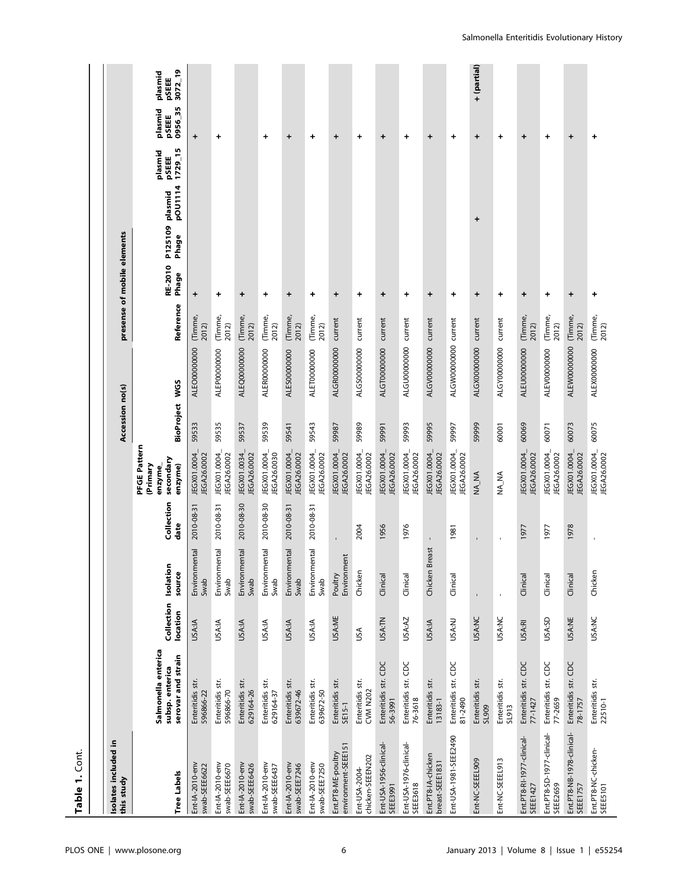| Table 1. Cont                                |                                                              |                        |                           |                    |                                                            |                 |                      |                             |                  |                  |                    |                             |                             |                             |
|----------------------------------------------|--------------------------------------------------------------|------------------------|---------------------------|--------------------|------------------------------------------------------------|-----------------|----------------------|-----------------------------|------------------|------------------|--------------------|-----------------------------|-----------------------------|-----------------------------|
|                                              |                                                              |                        |                           |                    |                                                            |                 |                      |                             |                  |                  |                    |                             |                             |                             |
| Isolates included in<br>this study           |                                                              |                        |                           |                    |                                                            | Accession no(s) |                      | presense of mobile elements |                  |                  |                    |                             |                             |                             |
| <b>Tree Labels</b>                           | Salmonella enterica<br>serovar and strain<br>subsp. enterica | Collection<br>location | Isolation<br>source       | Collection<br>date | PFGE Pattern<br>secondary<br>(Primary<br>enzyme)<br>enzyme | BioProject WGS  |                      | Reference                   | RE-2010<br>Phage | P125109<br>Phage | pOU1114<br>plasmid | 1729_15<br>plasmid<br>pSEEE | 0956_35<br>plasmid<br>pSEEE | 3072_19<br>plasmid<br>pSEEE |
| Ent-IA-2010-env<br>swab-SEEE6622             | Enteritidis str.<br>596866-22                                | <b>USA:IA</b>          | Environmental<br>Swab     | 2010-08-31         | JEGX01.0004<br>JEGA26.0002                                 | 59533           | ALEO00000000         | (Timme,<br>2012)            | $\ddot{}$        |                  |                    |                             | $\ddot{}$                   |                             |
| Ent-IA-2010-env<br>swab-SEEE6670             | Enteritidis str.<br>596866-70                                | USA:IA                 | ntal<br>Environme<br>Swab | 2010-08-31         | JEGX01.0004<br>JEGA26.0002                                 | 59535           | ALEP0000000          | (Timme,<br>2012)            | +                |                  |                    |                             | +                           |                             |
| Ent-IA-2010-env<br>swab-SEEE6426             | Enteritidis str.<br>629164-26                                | USA:IA                 | Environmental<br>Swab     | 2010-08-30         | JEGX01.0034_<br>JEGA26.0002                                | 59537           | ALEQ0000000          | (Timme,<br>2012)            | $\div$           |                  |                    |                             |                             |                             |
| Ent-IA-2010-env<br>swab-SEEE6437             | Enteritidis str.<br>629164-37                                | USA:IA                 | Environmental<br>Swab     | 2010-08-30         | JEGX01.0004_<br>JEGA26.0030                                | 59539           | ALERO000000          | (Timme,<br>2012)            | +                |                  |                    |                             | $\ddot{}$                   |                             |
| Ent-IA-2010-env<br>swab-SEEE7246             | Enteritidis str.<br>639672-46                                | <b>USA:IA</b>          | Environmental<br>Swab     | 2010-08-31         | JEGX01.0004_<br>JEGA26.0002                                | 59541           | ALES00000000         | (Timme,<br>2012)            | $\ddot{}$        |                  |                    |                             | +                           |                             |
| Ent-IA-2010-env<br>swab-SEEE7250             | Enteritidis str.<br>639672-50                                | USA:IA                 | Environmental<br>Swab     | 2010-08-31         | JEGX01.0004_<br>JEGA26.0002                                | 59543           | ALET00000000         | (Timme,<br>2012)            | +                |                  |                    |                             | +                           |                             |
| environment-SEEE151<br>Ent.PT8-ME-poultry    | Enteritidis str.<br>SE15-1                                   | USA:ME                 | Environment<br>Poultry    |                    | JEGX01.0004_<br>JEGA26.0002                                | 59987           | ALGR00000000         | current                     | $\ddot{}$        |                  |                    |                             | $\ddot{}$                   |                             |
| chicken-SEEEN202<br>Ent-USA-2004-            | Enteritidis str.<br><b>CVM N202</b>                          | USA                    | Chicken                   | 2004               | JEGX01.0004<br>JEGA26.0002                                 | 59989           | ALGS0000000          | current                     | $\ddot{}$        |                  |                    |                             | $\ddot{}$                   |                             |
| Ent-USA-1956-clinical-<br><b>SEEE3991</b>    | Enteritidis str. CDC<br>56-3991                              | <b>USA:TN</b>          | Clinical                  | 1956               | JEGX01.0004<br>JEGA26.0002                                 | 59991           | ALGT00000000         | current                     | $\ddot{}$        |                  |                    |                             | $\ddot{}$                   |                             |
| Ent-USA-1976-dinical-<br><b>SEEE3618</b>     | Enteritidis str. CDC<br>76-3618                              | USA:AZ                 | Clinical                  | 1976               | JEGX01.0004_<br>JEGA26.0002                                | 59993           | ALGU0000000          | current                     | $\ddot{}$        |                  |                    |                             | +                           |                             |
| Ent.PT8-IA-chicken<br>breast-SEEE1831        | Enteritidis str.<br>13183-1                                  | USA:IA                 | reast<br>Chicken Bı       |                    | JEGX01.0004_<br>JEGA26.0002                                | 59995           | ALGV00000000         | current                     | +                |                  |                    |                             | +                           |                             |
| Ent-USA-1981-SEEE2490                        | Enteritidis str. CDC<br>81-2490                              | USA:NJ                 | Clinical                  | 1981               | JEGX01.0004_<br>JEGA26.0002                                | 59997           | ALGW00000000 current |                             | +                |                  |                    |                             | +                           |                             |
| Ent-NC-SEEEL909                              | Enteritidis str.<br>SL909                                    | <b>USA:NC</b>          | $\blacksquare$            |                    | NA_NA                                                      | 59999           | ALGX0000000          | current                     | $\div$           |                  | +                  |                             | $\,{}^+$                    | + (partial)                 |
| Ent-NC-SEEEL913                              | Enteritidis str.<br>SL913                                    | <b>USA:NC</b>          | $\overline{\phantom{a}}$  | $\mathbf{I}$       | NA_NA                                                      | 60001           | ALGY0000000          | current                     | $\ddot{}$        |                  |                    |                             | $\ddot{}$                   |                             |
| Ent.PT8-RI-1977-clinical-<br>SEEE1427        | Enteritidis str. CDC<br>77-1427                              | <b>USA:RI</b>          | Clinical                  | 1977               | JEGX01.0004<br>JEGA26.0002                                 | 60069           | ALEU00000000         | (Timme,<br>2012)            | $\ddot{}$        |                  |                    |                             | $\ddot{}$                   |                             |
| Ent.PT8-SD-1977-clinical-<br>SEEE2659        | Enteritidis str. CDC<br>77-2659                              | USA:SD                 | Clinical                  | 1977               | JEGX01.0004_<br>JEGA26.0002                                | 60071           | ALEV00000000         | (Timme,<br>2012)            | +                |                  |                    |                             | +                           |                             |
| Ent.PT8-NB-1978-clinical-<br><b>SEEE1757</b> | Enteritidis str. CDC<br>78-1757                              | <b>USA:NE</b>          | Clinical                  | 1978               | JEGX01.0004_<br>JEGA26.0002                                | 60073           | ALEW00000000         | (Timme,<br>2012)            | $\div$           |                  |                    |                             | +                           |                             |
| Ent.PT8-NC-chicken-<br>SEEE5101              | Enteritidis str.<br>22510-1                                  | <b>USA:NC</b>          | Chicken                   | ï                  | JEGX01.0004_<br>JEGA26.0002                                | 60075           | ALEX00000000         | (Timme,<br>2012)            | $\ddot{}$        |                  |                    |                             | $\ddot{}$                   |                             |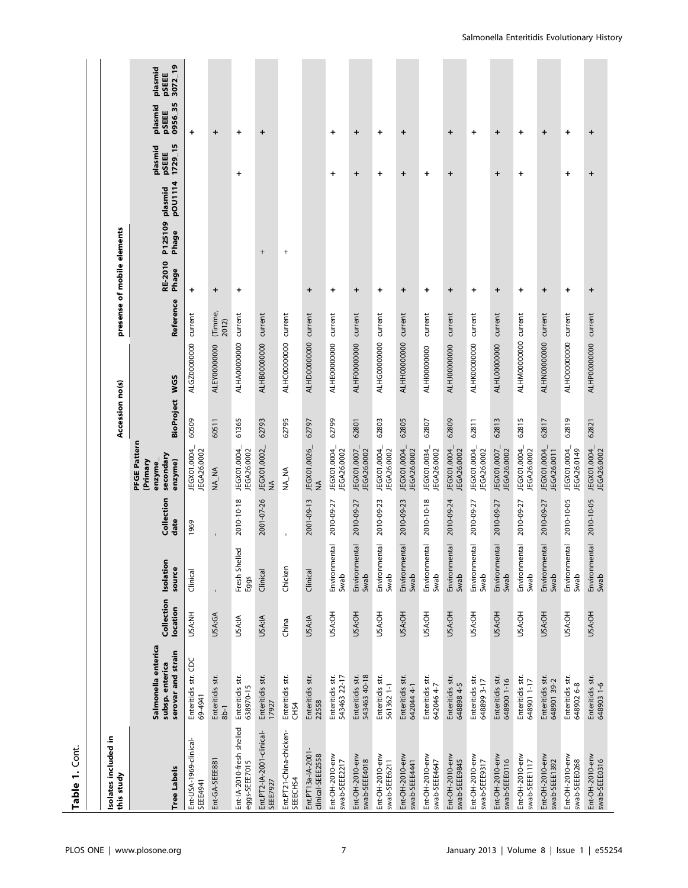| Table 1. Cont.                             |                                                              |                        |                             |                    |                                                            |                   |                      |                             |                   |                                        |                             |                             |                             |
|--------------------------------------------|--------------------------------------------------------------|------------------------|-----------------------------|--------------------|------------------------------------------------------------|-------------------|----------------------|-----------------------------|-------------------|----------------------------------------|-----------------------------|-----------------------------|-----------------------------|
|                                            |                                                              |                        |                             |                    |                                                            |                   |                      |                             |                   |                                        |                             |                             |                             |
| Isolates included in<br>this study         |                                                              |                        |                             |                    |                                                            | Accession no(s)   |                      | presense of mobile elements |                   |                                        |                             |                             |                             |
| <b>Tree Labels</b>                         | Salmonella enterica<br>serovar and strain<br>subsp. enterica | Collection<br>location | Isolation<br>source         | Collection<br>date | PFGE Pattern<br>secondary<br>(Primary<br>enzyme)<br>enzyme | <b>BioProject</b> | <b>WGS</b>           | Reference                   | RE-2010<br>Phage  | pOU1114<br>plasmid<br>P125109<br>Phage | 1729_15<br>plasmid<br>pSEEE | 0956_35<br>plasmid<br>pSEEE | 3072_19<br>plasmid<br>pSEEE |
| Ent-USA-1969-clinical-<br>SEEE4941         | Enteritidis str. CDC<br>69-4941                              | USA:NH                 | Clinical                    | 1969               | JEGX01.0004<br>JEGA26.0002                                 | 60509             | ALGZ0000000          | current                     | +                 |                                        |                             | +                           |                             |
| Ent-GA-SEEE8B1                             | Enteritidis str.<br>$8b-1$                                   | USA:GA                 | $\bar{1}$                   |                    | NA_NA                                                      | 60511             | ALEY0000000          | (Timme,<br>2012)            | $\ddot{}$         |                                        |                             | $\ddot{}$                   |                             |
| Ent-IA-2010-fresh shelled<br>eggs-SEEE7015 | Enteritidis str.<br>638970-15                                | <b>USA:IA</b>          | ΘÓ<br>Fresh Shelle<br>Eggs  | 2010-10-18         | JEGX01.0004_<br>JEGA26.0002                                | 61365             | ALHA00000000         | current                     | $\ddot{}$         |                                        | +                           | +                           |                             |
| Ent.PT2-IA-2001-clinical-<br>SEEE7927      | Enteritidis str.<br>17927                                    | USA:IA                 | Clinical                    | 2001-07-26         | JEGX01.0002<br>≸                                           | 62793             | ALHB00000000         | current                     |                   | $\qquad \qquad +$                      |                             | $\ddot{}$                   |                             |
| Ent.PT21-China-chicken-<br>SEEECHS4        | Enteritidis str.<br>CH <sub>S4</sub>                         | China                  | Chicken                     | $\mathbf{I}$       | NA_NA                                                      | 62795             | ALHC0000000          | current                     |                   | $\begin{array}{c} + \end{array}$       |                             |                             |                             |
| Ent.PT13a-IA-2001-<br>clinical-SEEE2558    | Enteritidis str.<br>22558                                    | USA:IA                 | Clinical                    | 2001-09-13         | JEGX01.0026_<br>$\frac{4}{2}$                              | 62797             | ALHD00000000 current |                             | $\div$            |                                        |                             |                             |                             |
| Ent-OH-2010-env<br>swab-SEEE2217           | Enteritidis str.<br>543463 22-17                             | USA:OH                 | intal<br>Environmer<br>Swab | 2010-09-27         | JEGX01.0004_<br>JEGA26.0002                                | 62799             | ALHE0000000          | current                     | $\ddot{}$         |                                        | $\ddot{}$                   | $\ddot{}$                   |                             |
| Ent-OH-2010-env<br>swab-SEEE4018           | Enteritidis str.<br>543463 40-18                             | USA:OH                 | Environmental<br>Swab       | 2010-09-27         | JEGX01.0007_<br>JEGA26.0002                                | 62801             | ALHF00000000         | current                     | $\ddot{}$         |                                        | $\ddot{}$                   | $\ddot{}$                   |                             |
| Ent-OH-2010-env<br>swab-SEEE6211           | Enteritidis str.<br>561362 1-1                               | USA:OH                 | Environmental<br>Swab       | 2010-09-23         | JEGX01.0004_<br>JEGA26.0002                                | 62803             | <b>ALHG00000000</b>  | current                     | +                 |                                        | +                           | +                           |                             |
| Ent-OH-2010-env<br>swab-SEEE4441           | Enteritidis str.<br>642044 4-1                               | USA:OH                 | Environmental<br>Swab       | 2010-09-23         | JEGX01.0004<br>JEGA26.0002                                 | 62805             | ALHH00000000 current |                             | $\ddot{}$         |                                        | +                           | +                           |                             |
| Ent-OH-2010-env<br>swab-SEEE4647           | Enteritidis str.<br>642046 4-7                               | USA:OH                 | Environmental<br>Swab       | 2010-10-18         | JEGX01.0034<br>JEGA26.0002                                 | 62807             | ALHI00000000         | current                     | $\qquad \qquad +$ |                                        | $\ddot{}$                   |                             |                             |
| Ent-OH-2010-env<br>swab-SEEE9845           | Enteritidis str.<br>648898 4-5                               | USA:OH                 | Environmental<br>Swab       | 2010-09-24         | JEGX01.0004_<br>JEGA26.0002                                | 62809             | ALHJ00000000         | current                     | $\ddot{}$         |                                        | $\ddot{}$                   | $\pmb{+}$                   |                             |
| Ent-OH-2010-env<br>swab-SEE9317            | Enteritidis str.<br>648899 3-17                              | USA:OH                 | Environmental<br>Swab       | 2010-09-27         | JEGX01.0004_<br>JEGA26.0002                                | 62811             | ALHK0000000          | current                     | $\ddot{}$         |                                        |                             | $\ddot{}$                   |                             |
| Ent-OH-2010-env<br>swab-SEEE0116           | Enteritidis str.<br>648900 1-16                              | USA:OH                 | Environmental<br>Swab       | 2010-09-27         | JEGX01.0007_<br>JEGA26.0002                                | 62813             | ALHL00000000         | current                     | +                 |                                        | +                           | +                           |                             |
| Ent-OH-2010-env<br>swab-SEEE1117           | Enteritidis str.<br>648901 1-17                              | USA:OH                 | Environmental<br>Swab       | 2010-09-27         | JEGX01.0004_<br>JEGA26.0002                                | 62815             | ALHM00000000 current |                             | $\ddot{}$         |                                        | $\ddot{}$                   | $\ddag$                     |                             |
| Ent-OH-2010-env<br>swab-SEEE1392           | Enteritidis str.<br>64890139-2                               | USA:OH                 | intal<br>Environme<br>Swab  | 2010-09-27         | JEGX01.0004_<br>JEGA26.0011                                | 62817             | ALHN00000000         | current                     | $\ddot{}$         |                                        |                             | +                           |                             |
| Ent-OH-2010-env<br>swab-SEEE0268           | Enteritidis str.<br>6489026-8                                | USA:OH                 | Environmental<br>Swab       | 2010-10-05         | JEGX01.0004<br>JEGA26.0149                                 | 62819             | ALHO00000000 current |                             | $\ddot{}$         |                                        | +                           | $\ddot{}$                   |                             |
| Ent-OH-2010-env<br>swab-SEEE0316           | Enteritidis str.<br>648903 1-6                               | USA:OH                 | Environmental<br>Swab       | 2010-10-05         | JEGX01.0004_<br>JEGA26.0002                                | 62821             | ALHP0000000 current  |                             | $\ddot{}$         |                                        | $\ddot{}$                   | $\ddot{}$                   |                             |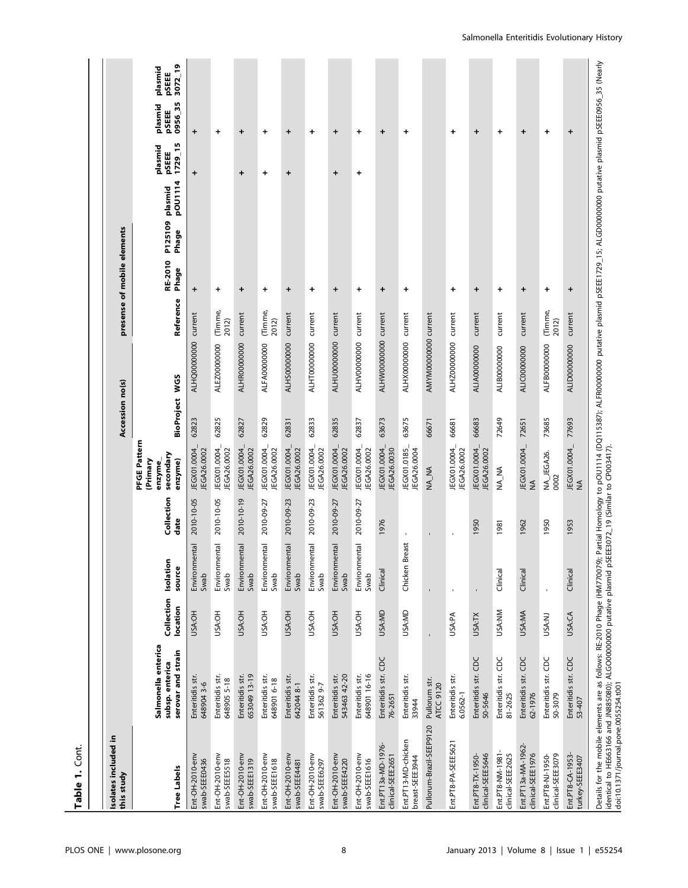| Isolates included in<br>this study      |                                                              |                        |                       |                    |                                                            | Accession no(s)   |                      | presense of mobile elements |                      |                  |                    |                             |                                  |                             |
|-----------------------------------------|--------------------------------------------------------------|------------------------|-----------------------|--------------------|------------------------------------------------------------|-------------------|----------------------|-----------------------------|----------------------|------------------|--------------------|-----------------------------|----------------------------------|-----------------------------|
| <b>Tree Labels</b>                      | Salmonella enterica<br>serovar and strain<br>subsp. enterica | Collection<br>location | Isolation<br>source   | Collection<br>date | PFGE Pattern<br>secondary<br>(Primary<br>enzyme)<br>enzyme | <b>BioProject</b> | <b>WGS</b>           | Reference                   | RE-2010<br>Phage     | P125109<br>Phage | pOU1114<br>plasmid | 1729_15<br>plasmid<br>pSEEE | 0956_35<br>plasmid<br>pSEEE      | 3072_19<br>plasmid<br>pSEEE |
| Ent-OH-2010-env<br>swab-SEEE0436        | Enteritidis str.<br>6489043-6                                | USA:OH                 | Environmental<br>Swab | 2010-10-05         | JEGX01.0004<br>JEGA26.0002                                 | 62823             | ALHQ00000000 current |                             | $\qquad \qquad +$    |                  |                    | $\ddot{}$                   | $\ddot{}$                        |                             |
| Ent-OH-2010-env<br>swab-SEEE5518        | Enteritidis str.<br>648905 5-18                              | USA:OH                 | Environmental<br>Swab | 2010-10-05         | JEGX01.0004_<br>JEGA26.0002                                | 62825             | ALEZ00000000         | (Timme,<br>2012)            | $\ddot{}$            |                  |                    |                             | +                                |                             |
| Ent-OH-2010-env<br>swab-SEEE1319        | Enteritidis str.<br>653049 13-19                             | USA:OH                 | Environmental<br>Swab | 2010-10-19         | JEGX01.0004<br>JEGA26.0002                                 | 62827             | ALHR00000000         | current                     | $\ddot{\phantom{1}}$ |                  |                    | $\ddot{}$                   | $\ddot{}$                        |                             |
| Ent-OH-2010-env<br>swab-SEEE1618        | Enteritidis str.<br>648901 6-18                              | USA:OH                 | Environmental<br>Swab | 2010-09-27         | JEGX01.0004_<br>JEGA26.0002                                | 62829             | ALFA00000000         | (Timme,<br>2012)            | $\ddot{}$            |                  |                    | $\ddot{}$                   | +                                |                             |
| Ent-OH-2010-env<br>swab-SEEE4481        | Enteritidis str.<br>642044 8-1                               | USA:OH                 | Environmental<br>Swab | 2010-09-23         | JEGX01.0004<br>JEGA26.0002                                 | 62831             | ALHS00000000         | current                     | $\ddot{}$            |                  |                    | +                           | $\ddot{}$                        |                             |
| Ent-OH-2010-env<br>swab-SEEE6297        | Enteritidis str.<br>561362 9-7                               | USA:OH                 | Environmental<br>Swab | 2010-09-23         | JEGX01.0004<br>JEGA26.0002                                 | 62833             | ALHT00000000         | current                     | $\ddot{}$            |                  |                    |                             | +                                |                             |
| Ent-OH-2010-env<br>swab-SEEE4220        | 543463 42-20<br>Enteritidis str.                             | USA:OH                 | Environmental<br>Swab | 2010-09-27         | JEGX01.0004<br>JEGA26.0002                                 | 62835             | ALHU00000000         | current                     | ÷                    |                  |                    | ÷                           | +                                |                             |
| Ent-OH-2010-env<br>swab-SEEE1616        | 648901 16-16<br>Enteritidis str.                             | USA:OH                 | Environmental<br>Swab | 2010-09-27         | JEGX01.0004_<br>JEGA26.0002                                | 62837             | ALHV00000000         | current                     | $\ddot{}$            |                  |                    | $\ddot{}$                   | $\ddot{}$                        |                             |
| Ent.PT13a-MD-1976-<br>clinical-SEEE2651 | Enteritidis str. CDC<br>76-2651                              | USA:MD                 | Clinical              | 1976               | JEGX01.0004_<br>JEGA26.0030                                | 63673             | ALHW00000000 current |                             | $\ddot{}$            |                  |                    |                             | $\begin{array}{c} + \end{array}$ |                             |
| Ent.PT13-MD-chicken<br>breast-SEEE3944  | Enteritidis str.<br>33944                                    | USA:MD                 | Chicken Breast        | $\blacksquare$     | JEGX01.0185_<br>JEGA26.0004                                | 63675             | ALHX00000000         | current                     | $\ddot{}$            |                  |                    |                             | +                                |                             |
| Pullorum-Brazil-SEEP9120                | Pullorum str.<br><b>ATCC 9120</b>                            |                        | r,                    | J.                 | <b>AN_NA</b>                                               | 66671             | AMYM00000000 current |                             |                      |                  |                    |                             |                                  |                             |
| Ent.PT8-PA-SEEE5621                     | Enteritidis str.<br>6.0562-1                                 | USA:PA                 | $\mathbf{I}$          | $\mathbf{I}$       | JEGX01.0004_<br>JEGA26.0002                                | 66681             | ALHZ00000000         | current                     | +                    |                  |                    |                             | +                                |                             |
| clinical-SEEE5646<br>Ent.PT8-TX-1950-   | Enteritidis str. CDC<br>50-5646                              | USA:TX                 |                       | 1950               | JEGX01.0004_<br>JEGA26.0002                                | 66683             | ALIA00000000         | current                     | $\ddot{}$            |                  |                    |                             | +                                |                             |
| Ent.PT8-NM-1981-<br>clinical-SEEE2625   | Enteritidis str. CDC<br>81-2625                              | USA:NM                 | Clinical              | 1981               | NA_NA                                                      | 72649             | ALIBOOOOOOOO         | current                     | $\ddot{}$            |                  |                    |                             | $\ddot{}$                        |                             |
| Ent.PT13a-MA-1962-<br>clinical-SEEE1976 | Enteritidis str. CDC<br>62-1976                              | USA:MA                 | Clinical              | 1962               | JEGX01.0004_<br>$\frac{4}{2}$                              | 72651             | ALIC00000000         | current                     | $\ddot{}$            |                  |                    |                             | $\ddot{}$                        |                             |
| clinical-SEEE3079<br>Ent.PT8-NJ-1950-   | Enteritidis str. CDC<br>50-3079                              | USA:NJ                 |                       | 1950               | NA_JEGA26.<br>0002                                         | 73685             | ALFB00000000         | (Timme,<br>2012)            | +                    |                  |                    |                             | +                                |                             |
| Ent.PT8-CA-1953-<br>turkey-SEEE3407     | Enteritidis str. CDC<br>53-407                               | USA:CA                 | Clinical              | 1953               | JEGX01.0004<br>$\leq$                                      | 77693             | ALID00000000         | current                     | +                    |                  |                    |                             | +                                |                             |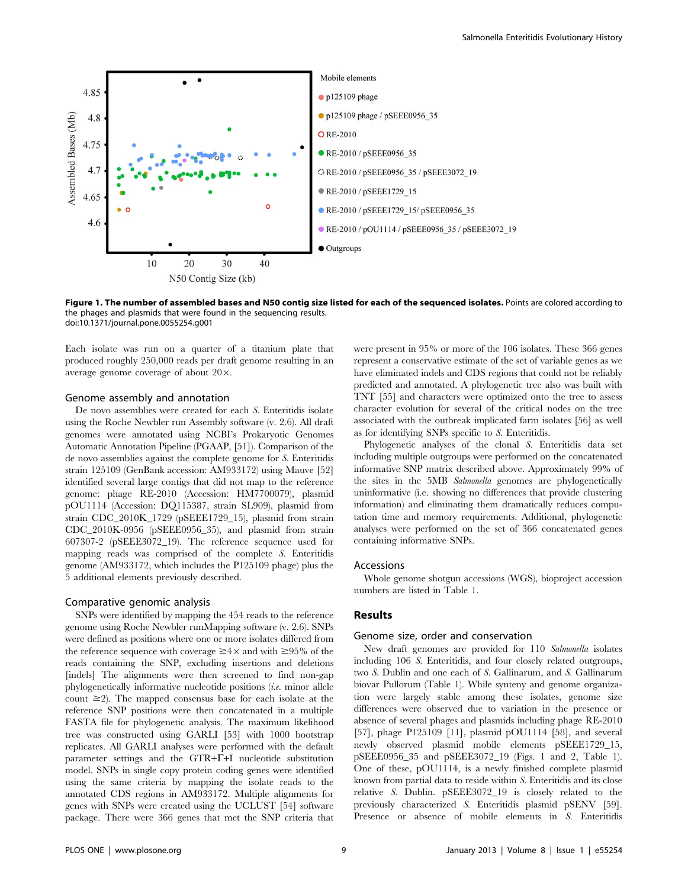

Figure 1. The number of assembled bases and N50 contig size listed for each of the sequenced isolates. Points are colored according to the phages and plasmids that were found in the sequencing results. doi:10.1371/journal.pone.0055254.g001

Each isolate was run on a quarter of a titanium plate that produced roughly 250,000 reads per draft genome resulting in an average genome coverage of about  $20 \times$ .

## Genome assembly and annotation

De novo assemblies were created for each S. Enteritidis isolate using the Roche Newbler run Assembly software (v. 2.6). All draft genomes were annotated using NCBI's Prokaryotic Genomes Automatic Annotation Pipeline (PGAAP, [51]). Comparison of the de novo assemblies against the complete genome for S. Enteritidis strain 125109 (GenBank accession: AM933172) using Mauve [52] identified several large contigs that did not map to the reference genome: phage RE-2010 (Accession: HM7700079), plasmid pOU1114 (Accession: DQ115387, strain SL909), plasmid from strain CDC\_2010K\_1729 (pSEEE1729\_15), plasmid from strain CDC 2010K-0956 (pSEEE0956 35), and plasmid from strain 607307-2 (pSEEE3072\_19). The reference sequence used for mapping reads was comprised of the complete S. Enteritidis genome (AM933172, which includes the P125109 phage) plus the 5 additional elements previously described.

#### Comparative genomic analysis

SNPs were identified by mapping the 454 reads to the reference genome using Roche Newbler runMapping software (v. 2.6). SNPs were defined as positions where one or more isolates differed from the reference sequence with coverage  $\geq 4 \times$  and with  $\geq 95\%$  of the reads containing the SNP, excluding insertions and deletions [indels] The alignments were then screened to find non-gap phylogenetically informative nucleotide positions (i.e. minor allele count  $\geq$ 2). The mapped consensus base for each isolate at the reference SNP positions were then concatenated in a multiple FASTA file for phylogenetic analysis. The maximum likelihood tree was constructed using GARLI [53] with 1000 bootstrap replicates. All GARLI analyses were performed with the default parameter settings and the GTR+F+I nucleotide substitution model. SNPs in single copy protein coding genes were identified using the same criteria by mapping the isolate reads to the annotated CDS regions in AM933172. Multiple alignments for genes with SNPs were created using the UCLUST [54] software package. There were 366 genes that met the SNP criteria that

were present in 95% or more of the 106 isolates. These 366 genes represent a conservative estimate of the set of variable genes as we have eliminated indels and CDS regions that could not be reliably predicted and annotated. A phylogenetic tree also was built with TNT [55] and characters were optimized onto the tree to assess character evolution for several of the critical nodes on the tree associated with the outbreak implicated farm isolates [56] as well as for identifying SNPs specific to S. Enteritidis.

Phylogenetic analyses of the clonal S. Enteritidis data set including multiple outgroups were performed on the concatenated informative SNP matrix described above. Approximately 99% of the sites in the 5MB Salmonella genomes are phylogenetically uninformative (i.e. showing no differences that provide clustering information) and eliminating them dramatically reduces computation time and memory requirements. Additional, phylogenetic analyses were performed on the set of 366 concatenated genes containing informative SNPs.

#### Accessions

Whole genome shotgun accessions (WGS), bioproject accession numbers are listed in Table 1.

#### Results

#### Genome size, order and conservation

New draft genomes are provided for 110 Salmonella isolates including 106 S. Enteritidis, and four closely related outgroups, two S. Dublin and one each of S. Gallinarum, and S. Gallinarum biovar Pullorum (Table 1). While synteny and genome organization were largely stable among these isolates, genome size differences were observed due to variation in the presence or absence of several phages and plasmids including phage RE-2010 [57], phage P125109 [11], plasmid pOU1114 [58], and several newly observed plasmid mobile elements pSEEE1729\_15, pSEEE0956\_35 and pSEEE3072\_19 (Figs. 1 and 2, Table 1). One of these, pOU1114, is a newly finished complete plasmid known from partial data to reside within S. Enteritidis and its close relative S. Dublin. pSEEE3072\_19 is closely related to the previously characterized S. Enteritidis plasmid pSENV [59]. Presence or absence of mobile elements in S. Enteritidis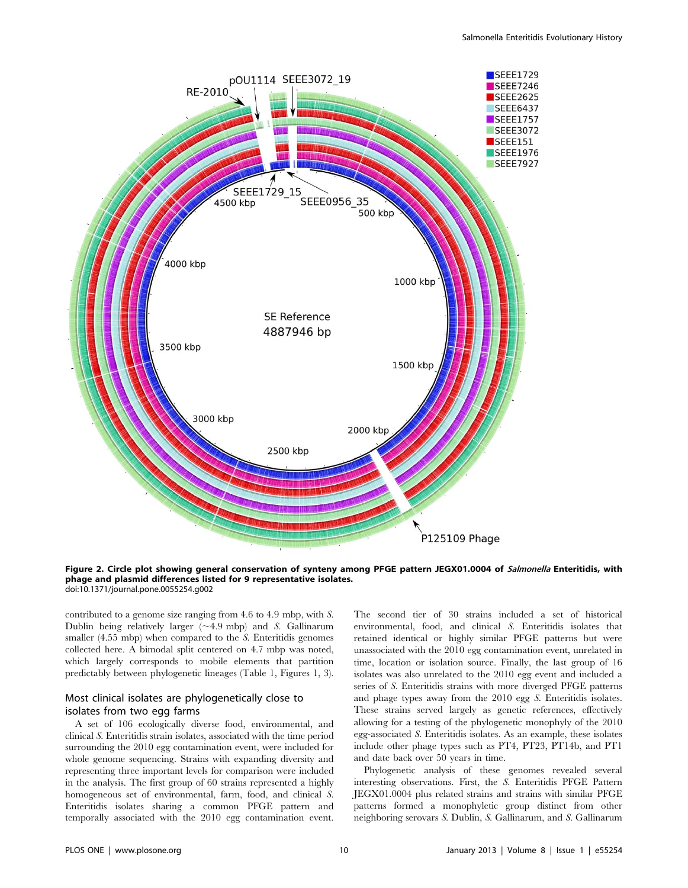

Figure 2. Circle plot showing general conservation of synteny among PFGE pattern JEGX01.0004 of Salmonella Enteritidis, with phage and plasmid differences listed for 9 representative isolates. doi:10.1371/journal.pone.0055254.g002

contributed to a genome size ranging from 4.6 to 4.9 mbp, with S. Dublin being relatively larger  $(\sim 4.9 \text{ mbp})$  and S. Gallinarum smaller (4.55 mbp) when compared to the S. Enteritidis genomes collected here. A bimodal split centered on 4.7 mbp was noted, which largely corresponds to mobile elements that partition predictably between phylogenetic lineages (Table 1, Figures 1, 3).

# Most clinical isolates are phylogenetically close to isolates from two egg farms

A set of 106 ecologically diverse food, environmental, and clinical S. Enteritidis strain isolates, associated with the time period surrounding the 2010 egg contamination event, were included for whole genome sequencing. Strains with expanding diversity and representing three important levels for comparison were included in the analysis. The first group of 60 strains represented a highly homogeneous set of environmental, farm, food, and clinical S. Enteritidis isolates sharing a common PFGE pattern and temporally associated with the 2010 egg contamination event.

The second tier of 30 strains included a set of historical environmental, food, and clinical S. Enteritidis isolates that retained identical or highly similar PFGE patterns but were unassociated with the 2010 egg contamination event, unrelated in time, location or isolation source. Finally, the last group of 16 isolates was also unrelated to the 2010 egg event and included a series of S. Enteritidis strains with more diverged PFGE patterns and phage types away from the 2010 egg S. Enteritidis isolates. These strains served largely as genetic references, effectively allowing for a testing of the phylogenetic monophyly of the 2010 egg-associated S. Enteritidis isolates. As an example, these isolates include other phage types such as PT4, PT23, PT14b, and PT1 and date back over 50 years in time.

Phylogenetic analysis of these genomes revealed several interesting observations. First, the S. Enteritidis PFGE Pattern JEGX01.0004 plus related strains and strains with similar PFGE patterns formed a monophyletic group distinct from other neighboring serovars S. Dublin, S. Gallinarum, and S. Gallinarum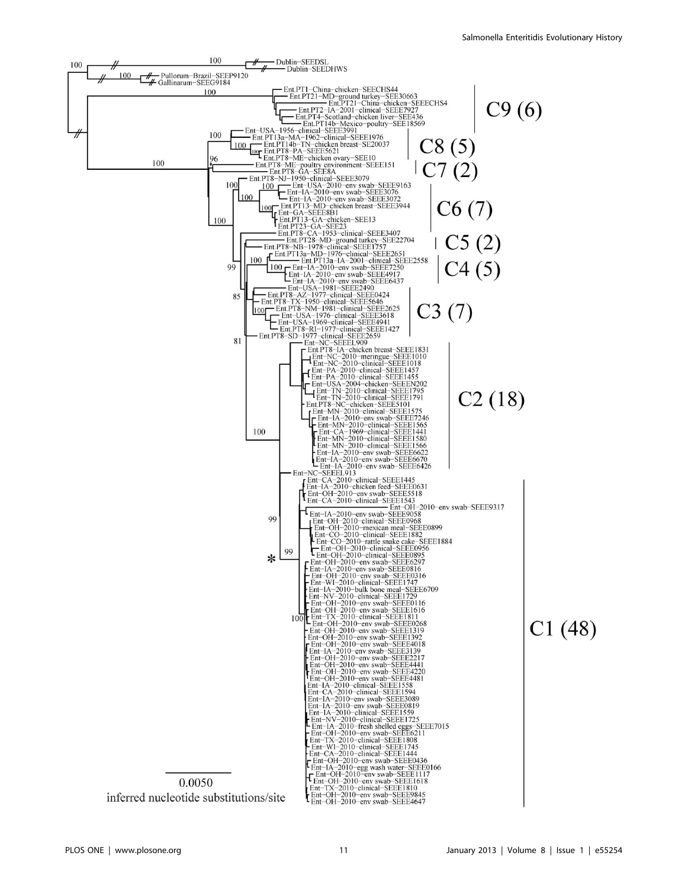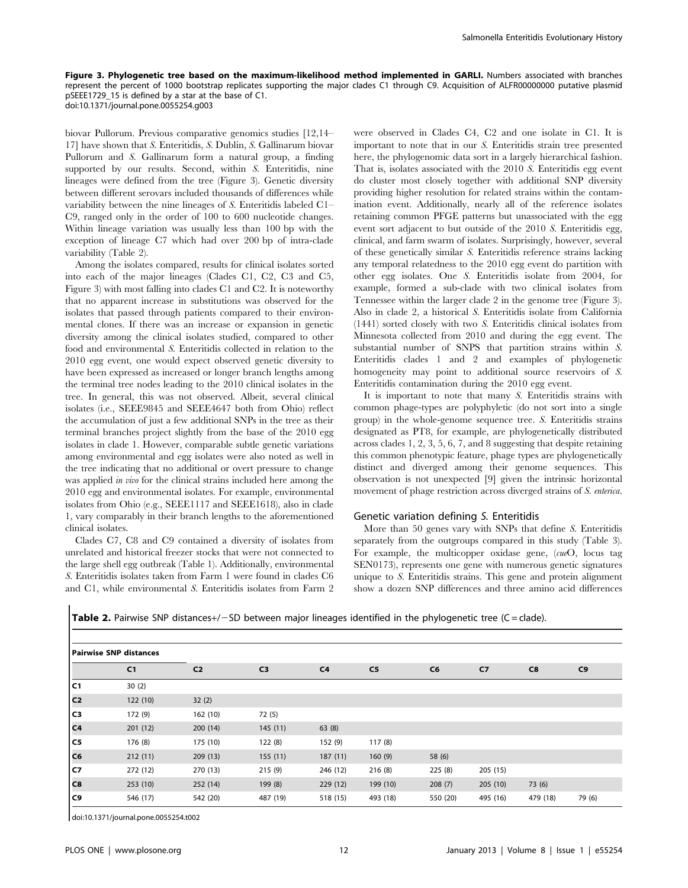Figure 3. Phylogenetic tree based on the maximum-likelihood method implemented in GARLI. Numbers associated with branches represent the percent of 1000 bootstrap replicates supporting the major clades C1 through C9. Acquisition of ALFR00000000 putative plasmid pSEEE1729\_15 is defined by a star at the base of C1. doi:10.1371/journal.pone.0055254.g003

biovar Pullorum. Previous comparative genomics studies [12,14– 17] have shown that S. Enteritidis, S. Dublin, S. Gallinarum biovar Pullorum and S. Gallinarum form a natural group, a finding supported by our results. Second, within S. Enteritidis, nine lineages were defined from the tree (Figure 3). Genetic diversity between different serovars included thousands of differences while variability between the nine lineages of S. Enteritidis labeled C1– C9, ranged only in the order of 100 to 600 nucleotide changes. Within lineage variation was usually less than 100 bp with the exception of lineage C7 which had over 200 bp of intra-clade variability (Table 2).

Among the isolates compared, results for clinical isolates sorted into each of the major lineages (Clades C1, C2, C3 and C5, Figure 3) with most falling into clades C1 and C2. It is noteworthy that no apparent increase in substitutions was observed for the isolates that passed through patients compared to their environmental clones. If there was an increase or expansion in genetic diversity among the clinical isolates studied, compared to other food and environmental S. Enteritidis collected in relation to the 2010 egg event, one would expect observed genetic diversity to have been expressed as increased or longer branch lengths among the terminal tree nodes leading to the 2010 clinical isolates in the tree. In general, this was not observed. Albeit, several clinical isolates (i.e., SEEE9845 and SEEE4647 both from Ohio) reflect the accumulation of just a few additional SNPs in the tree as their terminal branches project slightly from the base of the 2010 egg isolates in clade 1. However, comparable subtle genetic variations among environmental and egg isolates were also noted as well in the tree indicating that no additional or overt pressure to change was applied *in vivo* for the clinical strains included here among the 2010 egg and environmental isolates. For example, environmental isolates from Ohio (e.g., SEEE1117 and SEEE1618), also in clade 1, vary comparably in their branch lengths to the aforementioned clinical isolates.

Clades C7, C8 and C9 contained a diversity of isolates from unrelated and historical freezer stocks that were not connected to the large shell egg outbreak (Table 1). Additionally, environmental S. Enteritidis isolates taken from Farm 1 were found in clades C6 and C1, while environmental S. Enteritidis isolates from Farm 2 were observed in Clades C4, C2 and one isolate in C1. It is important to note that in our S. Enteritidis strain tree presented here, the phylogenomic data sort in a largely hierarchical fashion. That is, isolates associated with the 2010 S. Enteritidis egg event do cluster most closely together with additional SNP diversity providing higher resolution for related strains within the contamination event. Additionally, nearly all of the reference isolates retaining common PFGE patterns but unassociated with the egg event sort adjacent to but outside of the 2010 S. Enteritidis egg, clinical, and farm swarm of isolates. Surprisingly, however, several of these genetically similar S. Enteritidis reference strains lacking any temporal relatedness to the 2010 egg event do partition with other egg isolates. One S. Enteritidis isolate from 2004, for example, formed a sub-clade with two clinical isolates from Tennessee within the larger clade 2 in the genome tree (Figure 3). Also in clade 2, a historical S. Enteritidis isolate from California (1441) sorted closely with two S. Enteritidis clinical isolates from Minnesota collected from 2010 and during the egg event. The substantial number of SNPS that partition strains within S. Enteritidis clades 1 and 2 and examples of phylogenetic homogeneity may point to additional source reservoirs of S. Enteritidis contamination during the 2010 egg event.

It is important to note that many S. Enteritidis strains with common phage-types are polyphyletic (do not sort into a single group) in the whole-genome sequence tree. S. Enteritidis strains designated as PT8, for example, are phylogenetically distributed across clades 1, 2, 3, 5, 6, 7, and 8 suggesting that despite retaining this common phenotypic feature, phage types are phylogenetically distinct and diverged among their genome sequences. This observation is not unexpected [9] given the intrinsic horizontal movement of phage restriction across diverged strains of S. enterica.

#### Genetic variation defining S. Enteritidis

More than 50 genes vary with SNPs that define S. Enteritidis separately from the outgroups compared in this study (Table 3). For example, the multicopper oxidase gene, (cueO, locus tag SEN0173), represents one gene with numerous genetic signatures unique to S. Enteritidis strains. This gene and protein alignment show a dozen SNP differences and three amino acid differences

|  | Table 2. Pairwise SNP distances+/-SD between major lineages identified in the phylogenetic tree (C = clade). |  |  |  |
|--|--------------------------------------------------------------------------------------------------------------|--|--|--|
|  |                                                                                                              |  |  |  |

| <b>Pairwise SNP distances</b> |                |                |                |                |                |                |                |          |        |
|-------------------------------|----------------|----------------|----------------|----------------|----------------|----------------|----------------|----------|--------|
|                               | C <sub>1</sub> | C <sub>2</sub> | C <sub>3</sub> | C <sub>4</sub> | C <sub>5</sub> | C <sub>6</sub> | C <sub>7</sub> | C8       | C9     |
| cı                            | 30(2)          |                |                |                |                |                |                |          |        |
| c <sub>2</sub>                | 122(10)        | 32(2)          |                |                |                |                |                |          |        |
| cз                            | 172 (9)        | 162 (10)       | 72(5)          |                |                |                |                |          |        |
| $ c_4 $                       | 201(12)        | 200(14)        | 145(11)        | 63(8)          |                |                |                |          |        |
| C5                            | 176 (8)        | 175 (10)       | 122(8)         | 152 (9)        | 117(8)         |                |                |          |        |
| C6                            | 212(11)        | 209(13)        | 155(11)        | 187(11)        | 160(9)         | 58 (6)         |                |          |        |
| C7                            | 272 (12)       | 270 (13)       | 215(9)         | 246 (12)       | 216(8)         | 225(8)         | 205(15)        |          |        |
| c8                            | 253(10)        | 252(14)        | 199 (8)        | 229(12)        | 199 (10)       | 208(7)         | 205(10)        | 73 (6)   |        |
| C9                            | 546 (17)       | 542 (20)       | 487 (19)       | 518 (15)       | 493 (18)       | 550 (20)       | 495 (16)       | 479 (18) | 79 (6) |

doi:10.1371/journal.pone.0055254.t002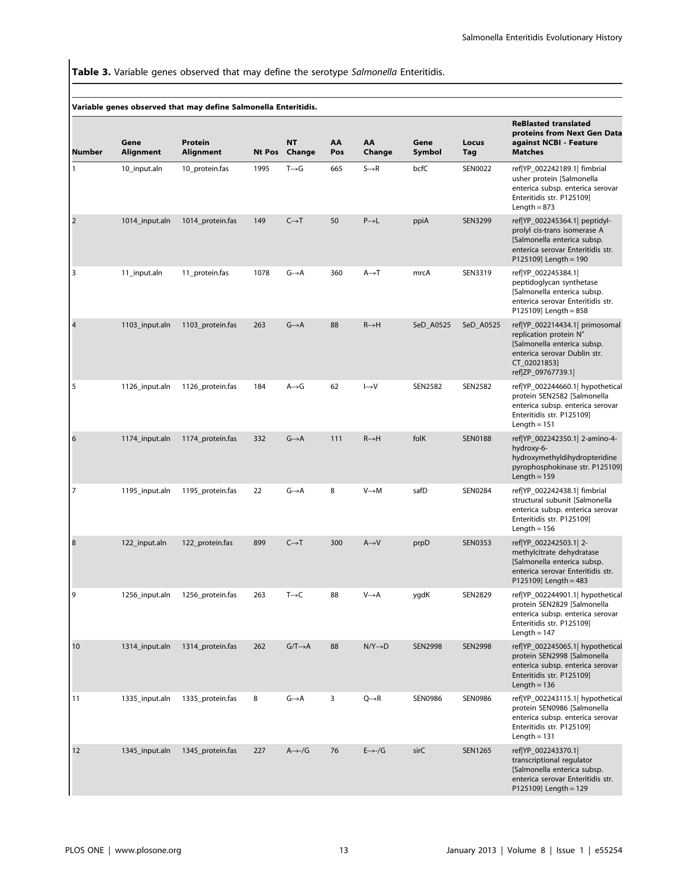Table 3. Variable genes observed that may define the serotype Salmonella Enteritidis.

|           |                   | Variable genes observed that may define Salmonella Enteritidis. |      |                            |           |                     |                |                |                                                                                                                                                              |
|-----------|-------------------|-----------------------------------------------------------------|------|----------------------------|-----------|---------------------|----------------|----------------|--------------------------------------------------------------------------------------------------------------------------------------------------------------|
| Number    | Gene<br>Alignment | Protein<br>Alignment                                            |      | <b>NT</b><br>Nt Pos Change | AA<br>Pos | AA<br>Change        | Gene<br>Symbol | Locus<br>Tag   | <b>ReBlasted translated</b><br>proteins from Next Gen Data<br>against NCBI - Feature<br><b>Matches</b>                                                       |
| -1        | 10_input.aln      | 10_protein.fas                                                  | 1995 | $T\rightarrow G$           | 665       | $S \rightarrow R$   | bcfC           | <b>SEN0022</b> | ref YP_002242189.1  fimbrial<br>usher protein [Salmonella<br>enterica subsp. enterica serovar<br>Enteritidis str. P125109]<br>Length = $873$                 |
| $\vert$ 2 | 1014_input.aln    | 1014_protein.fas                                                | 149  | $C \rightarrow T$          | 50        | $P\rightarrow L$    | ppiA           | SEN3299        | ref YP_002245364.1  peptidyl-<br>prolyl cis-trans isomerase A<br>[Salmonella enterica subsp.<br>enterica serovar Enteritidis str.<br>P125109] Length = 190   |
| 3         | 11_input.aln      | 11_protein.fas                                                  | 1078 | $G \rightarrow A$          | 360       | $A \rightarrow T$   | mrcA           | SEN3319        | ref YP_002245384.1 <br>peptidoglycan synthetase<br>[Salmonella enterica subsp.<br>enterica serovar Enteritidis str.<br>P125109] Length = 858                 |
| 4         | 1103_input.aln    | 1103_protein.fas                                                | 263  | $G \rightarrow A$          | 88        | $R \rightarrow H$   | SeD_A0525      | SeD_A0525      | ref YP_002214434.1  primosomal<br>replication protein N"<br>[Salmonella enterica subsp.<br>enterica serovar Dublin str.<br>CT_02021853]<br>ref ZP_09767739.1 |
| 5         | 1126_input.aln    | 1126_protein.fas                                                | 184  | A→G                        | 62        | $\mapsto$ V         | SEN2582        | SEN2582        | ref YP_002244660.1  hypothetical<br>protein SEN2582 [Salmonella<br>enterica subsp. enterica serovar<br>Enteritidis str. P125109]<br>Length $= 151$           |
| 6         | 1174_input.aln    | 1174_protein.fas                                                | 332  | $G \rightarrow A$          | 111       | $R \rightarrow H$   | folK           | <b>SEN0188</b> | ref YP_002242350.1  2-amino-4-<br>hydroxy-6-<br>hydroxymethyldihydropteridine<br>pyrophosphokinase str. P125109]<br>Length $= 159$                           |
| 17        | 1195_input.aln    | 1195_protein.fas                                                | 22   | G→A                        | 8         | V→M                 | safD           | SEN0284        | ref YP_002242438.1  fimbrial<br>structural subunit [Salmonella<br>enterica subsp. enterica serovar<br>Enteritidis str. P125109]<br>Length $= 156$            |
| 8         | 122_input.aln     | 122_protein.fas                                                 | 899  | $C \rightarrow T$          | 300       | $A \rightarrow V$   | prpD           | <b>SEN0353</b> | ref YP_002242503.1  2-<br>methylcitrate dehydratase<br>[Salmonella enterica subsp.<br>enterica serovar Enteritidis str.<br>P125109] Length = 483             |
| 9         | 1256_input.aln    | 1256_protein.fas                                                | 263  | $T\rightarrow C$           | 88        | $V \rightarrow A$   | ygdK           | <b>SEN2829</b> | ref YP_002244901.1  hypothetical<br>protein SEN2829 [Salmonella<br>enterica subsp. enterica serovar<br>Enteritidis str. P125109]<br>Length $= 147$           |
| 10        | 1314_input.aln    | 1314_protein.fas                                                | 262  | $G/T \rightarrow A$        | 88        | $N/Y \rightarrow D$ | <b>SEN2998</b> | <b>SEN2998</b> | ref YP_002245065.1  hypothetical<br>protein SEN2998 [Salmonella<br>enterica subsp. enterica serovar<br>Enteritidis str. P125109]<br>Length = $136$           |
| 11        | 1335_input.aln    | 1335_protein.fas                                                | 8    | $G \rightarrow A$          | 3         | $Q \rightarrow R$   | <b>SEN0986</b> | <b>SEN0986</b> | ref YP_002243115.1  hypothetical<br>protein SEN0986 [Salmonella<br>enterica subsp. enterica serovar<br>Enteritidis str. P125109]<br>Length $= 131$           |
| 12        | 1345_input.aln    | 1345_protein.fas                                                | 227  | $A \rightarrow -/G$        | 76        | $E \rightarrow -/G$ | sirC           | SEN1265        | ref YP_002243370.1 <br>transcriptional regulator<br>[Salmonella enterica subsp.<br>enterica serovar Enteritidis str.<br>P125109] Length = 129                |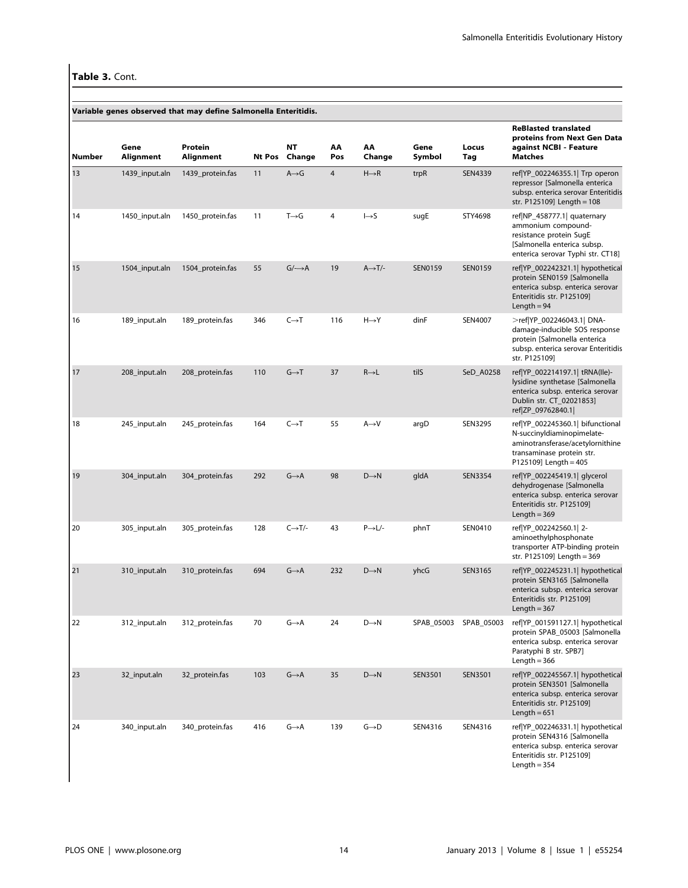|        |                   | Variable genes observed that may define Salmonella Enteritidis. |     |                            |                |                      |                |                |                                                                                                                                                          |
|--------|-------------------|-----------------------------------------------------------------|-----|----------------------------|----------------|----------------------|----------------|----------------|----------------------------------------------------------------------------------------------------------------------------------------------------------|
| Number | Gene<br>Alignment | Protein<br>Alignment                                            |     | <b>NT</b><br>Nt Pos Change | ΑА<br>Pos      | AA<br>Change         | Gene<br>Symbol | Locus<br>Tag   | <b>ReBlasted translated</b><br>proteins from Next Gen Data<br>against NCBI - Feature<br><b>Matches</b>                                                   |
| 13     | 1439_input.aln    | 1439_protein.fas                                                | 11  | $A \rightarrow G$          | $\overline{4}$ | $H \rightarrow R$    | trpR           | SEN4339        | ref YP_002246355.1  Trp operon<br>repressor [Salmonella enterica<br>subsp. enterica serovar Enteritidis<br>str. P125109] Length = 108                    |
| 14     | 1450 input.aln    | 1450_protein.fas                                                | 11  | $T\rightarrow G$           | $\overline{4}$ | $\mapsto$ S          | sugE           | STY4698        | ref NP_458777.1  quaternary<br>ammonium compound-<br>resistance protein SugE<br>[Salmonella enterica subsp.<br>enterica serovar Typhi str. CT18]         |
| 15     | 1504_input.aln    | 1504_protein.fas                                                | 55  | $G/\rightarrow A$          | 19             | $A \rightarrow T$ /- | <b>SEN0159</b> | SEN0159        | ref YP_002242321.1  hypothetical<br>protein SEN0159 [Salmonella<br>enterica subsp. enterica serovar<br>Enteritidis str. P125109]<br>Length = $94$        |
| 16     | 189_input.aln     | 189_protein.fas                                                 | 346 | $C \rightarrow T$          | 116            | $H \rightarrow Y$    | dinF           | SEN4007        | >ref YP 002246043.1  DNA-<br>damage-inducible SOS response<br>protein [Salmonella enterica<br>subsp. enterica serovar Enteritidis<br>str. P125109]       |
| 17     | 208_input.aln     | 208_protein.fas                                                 | 110 | $G \rightarrow T$          | 37             | $R \rightarrow L$    | tilS           | SeD_A0258      | ref YP_002214197.1  tRNA(Ile)-<br>lysidine synthetase [Salmonella<br>enterica subsp. enterica serovar<br>Dublin str. CT 02021853]<br>ref ZP_09762840.1   |
| 18     | 245_input.aln     | 245_protein.fas                                                 | 164 | $C \rightarrow T$          | 55             | $A \rightarrow V$    | argD           | SEN3295        | ref YP_002245360.1  bifunctional<br>N-succinyldiaminopimelate-<br>aminotransferase/acetylornithine<br>transaminase protein str.<br>P125109] Length = 405 |
| 19     | 304_input.aln     | 304_protein.fas                                                 | 292 | $G \rightarrow A$          | 98             | $D \rightarrow N$    | gldA           | <b>SEN3354</b> | ref YP_002245419.1  glycerol<br>dehydrogenase [Salmonella<br>enterica subsp. enterica serovar<br>Enteritidis str. P125109]<br>Length = $369$             |
| 20     | 305_input.aln     | 305_protein.fas                                                 | 128 | $C \rightarrow T$ /-       | 43             | $P \rightarrow L$ /- | phnT           | SEN0410        | ref YP_002242560.1  2-<br>aminoethylphosphonate<br>transporter ATP-binding protein<br>str. P125109] Length = 369                                         |
| 21     | 310_input.aln     | 310_protein.fas                                                 | 694 | $G \rightarrow A$          | 232            | $D \rightarrow N$    | yhcG           | SEN3165        | ref YP_002245231.1  hypothetical<br>protein SEN3165 [Salmonella<br>enterica subsp. enterica serovar<br>Enteritidis str. P125109]<br>Length $=$ 367       |
| 22     | 312_input.aln     | 312_protein.fas                                                 | 70  | $G \rightarrow A$          | 24             | $D\rightarrow N$     | SPAB_05003     | SPAB_05003     | ref YP_001591127.1  hypothetical<br>protein SPAB_05003 [Salmonella<br>enterica subsp. enterica serovar<br>Paratyphi B str. SPB7]<br>Length $=$ 366       |
| 23     | 32_input.aln      | 32_protein.fas                                                  | 103 | $G \rightarrow A$          | 35             | $D\rightarrow N$     | <b>SEN3501</b> | SEN3501        | ref YP_002245567.1  hypothetical<br>protein SEN3501 [Salmonella<br>enterica subsp. enterica serovar<br>Enteritidis str. P125109]<br>Length = $651$       |
| 24     | 340_input.aln     | 340_protein.fas                                                 | 416 | $G \rightarrow A$          | 139            | $G \rightarrow D$    | SEN4316        | SEN4316        | ref YP_002246331.1  hypothetical<br>protein SEN4316 [Salmonella<br>enterica subsp. enterica serovar<br>Enteritidis str. P125109]<br>Length $=$ 354       |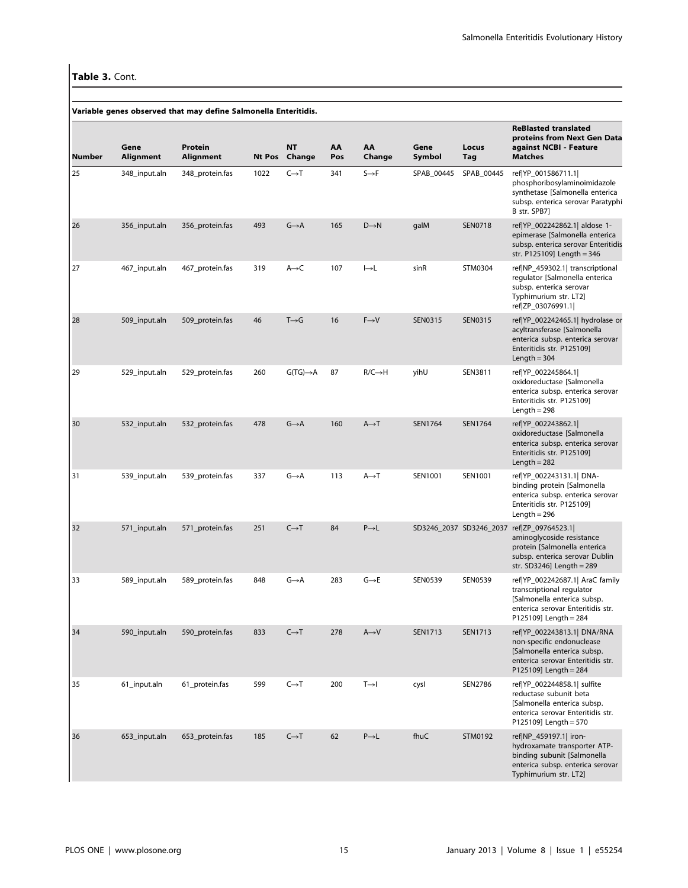|        |                   | Variable genes observed that may define Salmonella Enteritidis. |        |                       |           |                     |                |                         |                                                                                                                                                           |
|--------|-------------------|-----------------------------------------------------------------|--------|-----------------------|-----------|---------------------|----------------|-------------------------|-----------------------------------------------------------------------------------------------------------------------------------------------------------|
| Number | Gene<br>Alignment | <b>Protein</b><br>Alignment                                     | Nt Pos | <b>NT</b><br>Change   | AA<br>Pos | AA<br>Change        | Gene<br>Symbol | Locus<br>Tag            | <b>ReBlasted translated</b><br>proteins from Next Gen Data<br>against NCBI - Feature<br><b>Matches</b>                                                    |
| 25     | 348_input.aln     | 348_protein.fas                                                 | 1022   | $C\rightarrow T$      | 341       | $S \rightarrow F$   | SPAB_00445     | SPAB_00445              | ref YP_001586711.1 <br>phosphoribosylaminoimidazole<br>synthetase [Salmonella enterica<br>subsp. enterica serovar Paratyphi<br>B str. SPB7]               |
| 26     | 356_input.aln     | 356_protein.fas                                                 | 493    | $G \rightarrow A$     | 165       | $D\rightarrow N$    | galM           | <b>SEN0718</b>          | ref YP_002242862.1  aldose 1-<br>epimerase [Salmonella enterica<br>subsp. enterica serovar Enteritidis<br>str. P125109] Length = 346                      |
| 27     | 467_input.aln     | 467_protein.fas                                                 | 319    | $A \rightarrow C$     | 107       | $\mapsto$ L         | sinR           | STM0304                 | ref NP_459302.1  transcriptional<br>regulator [Salmonella enterica<br>subsp. enterica serovar<br>Typhimurium str. LT2]<br>ref ZP_03076991.1               |
| 28     | 509_input.aln     | 509_protein.fas                                                 | 46     | $T\rightarrow G$      | 16        | $F \rightarrow V$   | SEN0315        | <b>SEN0315</b>          | ref YP_002242465.1  hydrolase or<br>acyltransferase [Salmonella<br>enterica subsp. enterica serovar<br>Enteritidis str. P125109]<br>Length $=$ 304        |
| 29     | 529_input.aln     | 529_protein.fas                                                 | 260    | $G(TG) \rightarrow A$ | 87        | $R/C \rightarrow H$ | yihU           | SEN3811                 | ref YP_002245864.1 <br>oxidoreductase [Salmonella<br>enterica subsp. enterica serovar<br>Enteritidis str. P125109]<br>Length $= 298$                      |
| 30     | 532_input.aln     | 532_protein.fas                                                 | 478    | $G \rightarrow A$     | 160       | $A \rightarrow T$   | SEN1764        | SEN1764                 | ref YP_002243862.1 <br>oxidoreductase [Salmonella<br>enterica subsp. enterica serovar<br>Enteritidis str. P125109]<br>Length $= 282$                      |
| 31     | 539_input.aln     | 539_protein.fas                                                 | 337    | G→A                   | 113       | $A \rightarrow T$   | SEN1001        | SEN1001                 | ref YP_002243131.1  DNA-<br>binding protein [Salmonella<br>enterica subsp. enterica serovar<br>Enteritidis str. P125109]<br>Length $= 296$                |
| 32     | 571_input.aln     | 571_protein.fas                                                 | 251    | $C\rightarrow T$      | 84        | $P \rightarrow L$   |                | SD3246_2037 SD3246_2037 | ref ZP_09764523.1 <br>aminoglycoside resistance<br>protein [Salmonella enterica<br>subsp. enterica serovar Dublin<br>str. SD3246] Length = 289            |
| 33     | 589 input.aln     | 589_protein.fas                                                 | 848    | $G \rightarrow A$     | 283       | $G \rightarrow E$   | <b>SEN0539</b> | <b>SEN0539</b>          | ref YP_002242687.1  AraC family<br>transcriptional regulator<br>[Salmonella enterica subsp.<br>enterica serovar Enteritidis str.<br>P125109] Length = 284 |
| 34     | 590_input.aln     | 590_protein.fas                                                 | 833    | $C \rightarrow T$     | 278       | $A \rightarrow V$   | <b>SEN1713</b> | <b>SEN1713</b>          | ref YP 002243813.1  DNA/RNA<br>non-specific endonuclease<br>[Salmonella enterica subsp.<br>enterica serovar Enteritidis str.<br>P125109] Length = 284     |
| 35     | 61_input.aln      | 61_protein.fas                                                  | 599    | $C \rightarrow T$     | 200       | $T \rightarrow I$   | cysl           | SEN2786                 | ref YP 002244858.1  sulfite<br>reductase subunit beta<br>[Salmonella enterica subsp.<br>enterica serovar Enteritidis str.<br>P125109] Length = 570        |
| 36     | 653 input.aln     | 653_protein.fas                                                 | 185    | $C \rightarrow T$     | 62        | $P\rightarrow L$    | fhuC           | STM0192                 | ref NP 459197.1  iron-<br>hydroxamate transporter ATP-<br>binding subunit [Salmonella<br>enterica subsp. enterica serovar<br>Typhimurium str. LT2]        |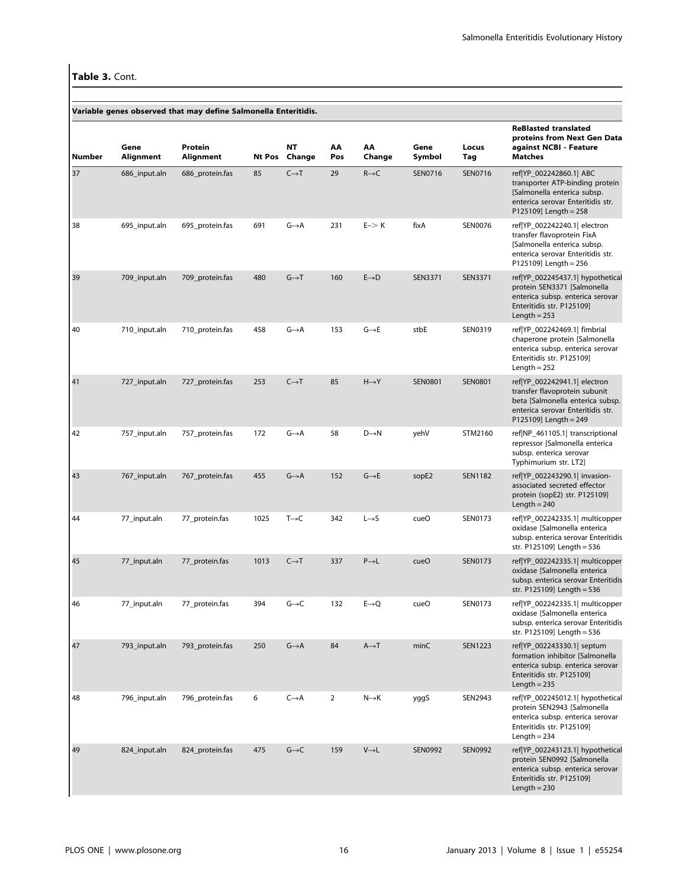|        |                   |                      |      |                     |                |                   |                   |                | <b>ReBlasted translated</b>                                                                                                                                     |
|--------|-------------------|----------------------|------|---------------------|----------------|-------------------|-------------------|----------------|-----------------------------------------------------------------------------------------------------------------------------------------------------------------|
| Number | Gene<br>Alignment | Protein<br>Alignment |      | NΤ<br>Nt Pos Change | AA<br>Pos      | AA<br>Change      | Gene<br>Symbol    | Locus<br>Tag   | proteins from Next Gen Data<br>against NCBI - Feature<br>Matches                                                                                                |
| 37     | 686_input.aln     | 686_protein.fas      | 85   | $C \rightarrow T$   | 29             | $R \rightarrow C$ | SEN0716           | SEN0716        | ref YP_002242860.1  ABC<br>transporter ATP-binding protein<br>[Salmonella enterica subsp.<br>enterica serovar Enteritidis str.<br>P125109] Length = 258         |
| 38     | 695_input.aln     | 695_protein.fas      | 691  | G→A                 | 231            | $E->K$            | fixA              | SEN0076        | ref YP_002242240.1  electron<br>transfer flavoprotein FixA<br>[Salmonella enterica subsp.<br>enterica serovar Enteritidis str.<br>P125109] Length = 256         |
| 39     | 709_input.aln     | 709_protein.fas      | 480  | $G \rightarrow T$   | 160            | $E \rightarrow D$ | SEN3371           | SEN3371        | ref YP_002245437.1  hypothetical<br>protein SEN3371 [Salmonella<br>enterica subsp. enterica serovar<br>Enteritidis str. P125109]<br>Length $= 253$              |
| 40     | 710 input.aln     | 710_protein.fas      | 458  | $G \rightarrow A$   | 153            | $G \rightarrow E$ | stbE              | SEN0319        | ref YP_002242469.1  fimbrial<br>chaperone protein [Salmonella<br>enterica subsp. enterica serovar<br>Enteritidis str. P125109]<br>Length $= 252$                |
| 41     | 727_input.aln     | 727_protein.fas      | 253  | $C \rightarrow T$   | 85             | $H\rightarrow Y$  | <b>SEN0801</b>    | <b>SEN0801</b> | ref YP_002242941.1  electron<br>transfer flavoprotein subunit<br>beta [Salmonella enterica subsp.<br>enterica serovar Enteritidis str.<br>P125109] Length = 249 |
| 42     | 757_input.aln     | 757_protein.fas      | 172  | G→A                 | 58             | $D\rightarrow N$  | yehV              | STM2160        | ref NP_461105.1  transcriptional<br>repressor [Salmonella enterica<br>subsp. enterica serovar<br>Typhimurium str. LT2]                                          |
| 43     | 767_input.aln     | 767_protein.fas      | 455  | $G \rightarrow A$   | 152            | $G \rightarrow E$ | sopE <sub>2</sub> | <b>SEN1182</b> | ref YP_002243290.1  invasion-<br>associated secreted effector<br>protein (sopE2) str. P125109]<br>Length $= 240$                                                |
| 44     | 77_input.aln      | 77_protein.fas       | 1025 | $T\rightarrow C$    | 342            | $L \rightarrow S$ | cueO              | SEN0173        | ref YP_002242335.1  multicopper<br>oxidase [Salmonella enterica<br>subsp. enterica serovar Enteritidis<br>str. P125109] Length = 536                            |
| 45     | 77_input.aln      | 77_protein.fas       | 1013 | $C \rightarrow T$   | 337            | $P \rightarrow L$ | cue <sub>O</sub>  | SEN0173        | ref YP_002242335.1  multicopper<br>oxidase [Salmonella enterica<br>subsp. enterica serovar Enteritidis<br>str. P125109] Length = 536                            |
| 46     | 77_input.aln      | 77_protein.fas       | 394  | $G\rightarrow C$    | 132            | $E \rightarrow Q$ | cueO              | SEN0173        | ref YP_002242335.1  multicopper<br>oxidase [Salmonella enterica<br>subsp. enterica serovar Enteritidis<br>str. P125109] Length = 536                            |
| 47     | 793_input.aln     | 793_protein.fas      | 250  | $G \rightarrow A$   | 84             | $A \rightarrow T$ | minC              | <b>SEN1223</b> | ref YP_002243330.1  septum<br>formation inhibitor [Salmonella<br>enterica subsp. enterica serovar<br>Enteritidis str. P125109]<br>Length $= 235$                |
| 48     | 796_input.aln     | 796_protein.fas      | 6    | $C \rightarrow A$   | $\overline{2}$ | $N \rightarrow K$ | yggS              | SEN2943        | ref YP_002245012.1  hypothetical<br>protein SEN2943 [Salmonella<br>enterica subsp. enterica serovar<br>Enteritidis str. P125109]<br>Length $= 234$              |
| 49     | 824_input.aln     | 824_protein.fas      | 475  | $G\rightarrow C$    | 159            | $V \rightarrow L$ | <b>SEN0992</b>    | SEN0992        | ref YP_002243123.1  hypothetical<br>protein SEN0992 [Salmonella<br>enterica subsp. enterica serovar<br>Enteritidis str. P125109]<br>Length $= 230$              |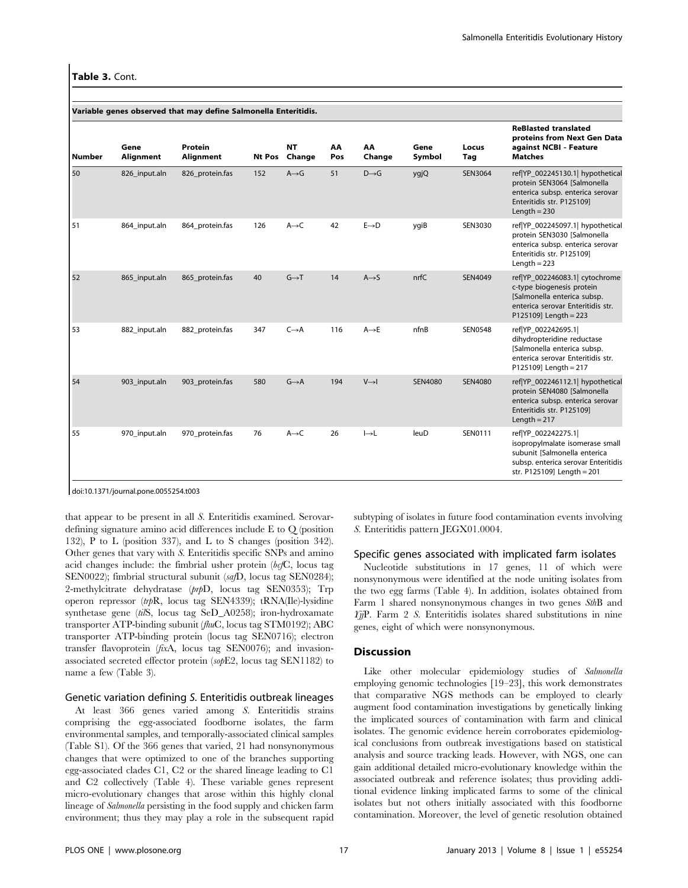|               |                   | Variable genes observed that may define Salmonella Enteritidis. |        |                     |           |                   |                |                |                                                                                                                                                             |
|---------------|-------------------|-----------------------------------------------------------------|--------|---------------------|-----------|-------------------|----------------|----------------|-------------------------------------------------------------------------------------------------------------------------------------------------------------|
| <b>Number</b> | Gene<br>Alignment | Protein<br>Alignment                                            | Nt Pos | <b>NT</b><br>Change | AA<br>Pos | AA<br>Change      | Gene<br>Symbol | Locus<br>Tag   | <b>ReBlasted translated</b><br>proteins from Next Gen Data<br>against NCBI - Feature<br><b>Matches</b>                                                      |
| 50            | 826_input.aln     | 826_protein.fas                                                 | 152    | $A \rightarrow G$   | 51        | $D \rightarrow G$ | ygjQ           | SEN3064        | ref YP_002245130.1  hypothetical<br>protein SEN3064 [Salmonella<br>enterica subsp. enterica serovar<br>Enteritidis str. P125109]<br>Length $= 230$          |
| 51            | 864_input.aln     | 864 protein.fas                                                 | 126    | $A \rightarrow C$   | 42        | $E \rightarrow D$ | ygiB           | SEN3030        | ref YP_002245097.1  hypothetical<br>protein SEN3030 [Salmonella<br>enterica subsp. enterica serovar<br>Enteritidis str. P125109]<br>Length $= 223$          |
| 52            | 865 input.aln     | 865 protein.fas                                                 | 40     | $G \rightarrow T$   | 14        | $A \rightarrow S$ | nrfC           | SEN4049        | ref YP_002246083.1  cytochrome<br>c-type biogenesis protein<br>[Salmonella enterica subsp.<br>enterica serovar Enteritidis str.<br>$P125109$ ] Length = 223 |
| 53            | 882_input.aln     | 882_protein.fas                                                 | 347    | $C \rightarrow A$   | 116       | $A \rightarrow E$ | nfnB           | <b>SEN0548</b> | ref YP_002242695.1 <br>dihydropteridine reductase<br>[Salmonella enterica subsp.<br>enterica serovar Enteritidis str.<br>P125109] Length = 217              |
| 54            | 903 input.aln     | 903_protein.fas                                                 | 580    | $G \rightarrow A$   | 194       | $V \rightarrow$   | SEN4080        | <b>SEN4080</b> | ref YP_002246112.1  hypothetical<br>protein SEN4080 [Salmonella<br>enterica subsp. enterica serovar<br>Enteritidis str. P125109]<br>Length $= 217$          |
| 55            | 970 input.aln     | 970 protein.fas                                                 | 76     | $A \rightarrow C$   | 26        | $\mapsto$ L       | leuD           | SEN0111        | ref YP 002242275.1 <br>isopropylmalate isomerase small<br>subunit [Salmonella enterica<br>subsp. enterica serovar Enteritidis<br>str. P125109] Length = 201 |

doi:10.1371/journal.pone.0055254.t003

that appear to be present in all S. Enteritidis examined. Serovardefining signature amino acid differences include E to Q (position 132), P to L (position 337), and L to S changes (position 342). Other genes that vary with S. Enteritidis specific SNPs and amino acid changes include: the fimbrial usher protein (bcfC, locus tag SEN0022); fimbrial structural subunit (safD, locus tag SEN0284); 2-methylcitrate dehydratase (prpD, locus tag SEN0353); Trp operon repressor (trpR, locus tag SEN4339); tRNA(Ile)-lysidine synthetase gene (tilS, locus tag SeD\_A0258); iron-hydroxamate transporter ATP-binding subunit (fhuC, locus tag STM0192); ABC transporter ATP-binding protein (locus tag SEN0716); electron transfer flavoprotein (fixA, locus tag SEN0076); and invasionassociated secreted effector protein (sopE2, locus tag SEN1182) to name a few (Table 3).

## Genetic variation defining S. Enteritidis outbreak lineages

At least 366 genes varied among S. Enteritidis strains comprising the egg-associated foodborne isolates, the farm environmental samples, and temporally-associated clinical samples (Table S1). Of the 366 genes that varied, 21 had nonsynonymous changes that were optimized to one of the branches supporting egg-associated clades C1, C2 or the shared lineage leading to C1 and C2 collectively (Table 4). These variable genes represent micro-evolutionary changes that arose within this highly clonal lineage of Salmonella persisting in the food supply and chicken farm environment; thus they may play a role in the subsequent rapid subtyping of isolates in future food contamination events involving S. Enteritidis pattern JEGX01.0004.

# Specific genes associated with implicated farm isolates

Nucleotide substitutions in 17 genes, 11 of which were nonsynonymous were identified at the node uniting isolates from the two egg farms (Table 4). In addition, isolates obtained from Farm 1 shared nonsynonymous changes in two genes SthB and  $Y_{\eta}$ P. Farm 2 S. Enteritidis isolates shared substitutions in nine genes, eight of which were nonsynonymous.

# **Discussion**

Like other molecular epidemiology studies of Salmonella employing genomic technologies [19–23], this work demonstrates that comparative NGS methods can be employed to clearly augment food contamination investigations by genetically linking the implicated sources of contamination with farm and clinical isolates. The genomic evidence herein corroborates epidemiological conclusions from outbreak investigations based on statistical analysis and source tracking leads. However, with NGS, one can gain additional detailed micro-evolutionary knowledge within the associated outbreak and reference isolates; thus providing additional evidence linking implicated farms to some of the clinical isolates but not others initially associated with this foodborne contamination. Moreover, the level of genetic resolution obtained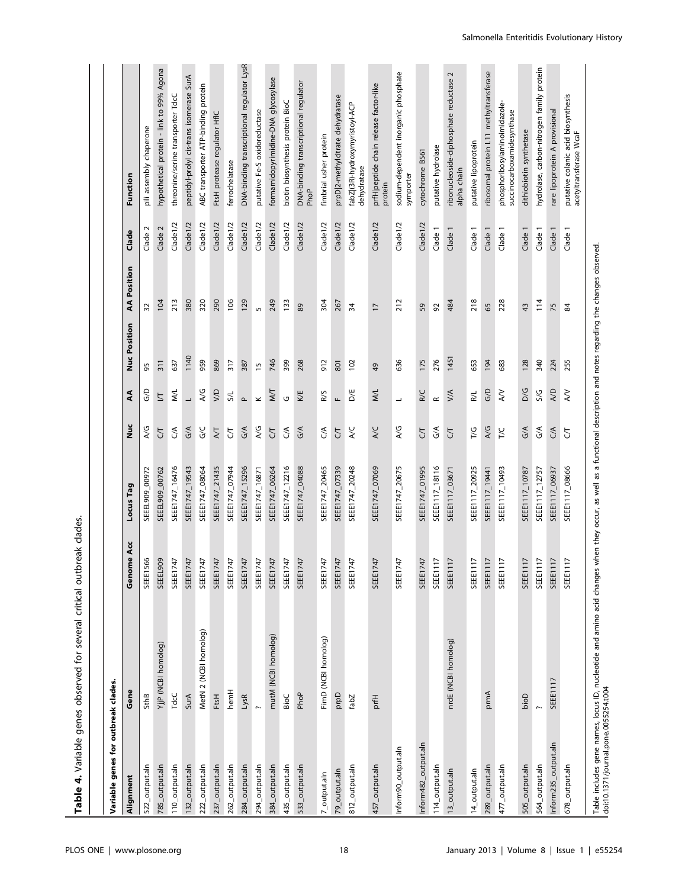Table 4. Variable genes observed for several critical outbreak clades. Table 4. Variable genes observed for several critical outbreak clades.

| Variable genes for outbreak clades. |                       |                                     |                 |                  |                          |                |                    |                 |                                                              |
|-------------------------------------|-----------------------|-------------------------------------|-----------------|------------------|--------------------------|----------------|--------------------|-----------------|--------------------------------------------------------------|
| Alignment                           | Gene                  | Genome Acc                          | Locus Tag       | )<br>Nu          | E                        | Nuc Position   | <b>AA</b> Position | Clade           | Function                                                     |
| 522_output.aln                      | SthB                  | SEEE1566                            | SEEEL909_00972  | A/G              | G/D                      | 95             | 32                 | $\sim$<br>Clade | pili assembly chaperone                                      |
| 785_output.aln                      | YjjP (NCBI homolog)   | SEEEL909                            | SEEEL909_00762  | 5                | $\overline{\mathbb{Z}}$  | 311            | 104                | Clade 2         | hypothetical protein - link to 99% Agona                     |
| 110_output.aln                      | TdcC                  | SEEE1747                            | SEEE1747_16476  | $\mathcal{S}$    | <b>NVL</b>               | 637            | 213                | Clade 1/2       | threonine/serine transporter TdcC                            |
| 132_output.aln                      | SurA                  | SEEE1747                            | SEEE1747_19543  | G/A              | $\overline{\phantom{0}}$ | 1140           | 380                | Clade 1/2       | peptidyl-prolyl cis-trans isomerase SurA                     |
| 222_output.aln                      | MetN 2 (NCBI homolog) | SEEE1747                            | SEEE1747_08064  | ς<br>Θ           | A/G                      | 959            | 320                | Clade 1/2       | ABC transporter ATP-binding protein                          |
| 237_output.aln                      | FtsH                  | SEEE1747                            | SEEE1747_21435  | AЛ               | <b>S</b>                 | 869            | 290                | Clade 1/2       | FtsH protease regulator HflC                                 |
| 262_output.aln                      | hemH                  | SEEE1747                            | SEEE1747_07944  | 5                | S/L                      | 317            | 106                | Clade 1/2       | ferrochelatase                                               |
| 284_output.aln                      | LysR                  | SEEE1747                            | SEEE1747_15296  | G/A              | $\sim$                   | 387            | 129                | Clade 1/2       | DNA-binding transcriptional regulator LysR                   |
| 294_output.aln                      |                       | SEEE1747                            | SEEE1747_16871  | A/G              | $\geq$                   | $\overline{1}$ | $\sqrt{2}$         | Clade 1/2       | putative Fe-S oxidoreductase                                 |
| 384_output.aln                      | mutM (NCBI homolog)   | <b>SEEE1747</b>                     | SEEE1747_06264  | 5                | МT                       | 746            | 249                | $C$ lade $1/2$  | formamidopyrimidine-DNA glycosylase                          |
| 435_output.aln                      | BioC                  | SEEE1747                            | SEEE1747_12216  | $\mathcal{S}$    | U                        | 399            | 133                | Clade 1/2       | biotin biosynthesis protein BioC                             |
| 533_output.aln                      | PhoP                  | SEEE1747                            | SEEE1747_04088  | 6/4              | KE                       | 268            | 89                 | Clade 1/2       | DNA-binding transcriptional regulator<br>PhoP                |
| $7$ _output.aln                     | FimD (NCBI homolog)   | SEEE1747                            | SEEE1747_20465  | $\mathcal{S}$    | R/S                      | 912            | 304                | Clade 1/2       | fimbrial usher protein                                       |
| 79_output.aln                       | Dub                   | SEEE1747                            | SEEE1747_07339  | 5                | Щ                        | 801            | 267                | Clade 1/2       | prpD 2-methylcitrate dehydratase                             |
| 812_output.aln                      | fabZ                  | SEEE1747                            | SEEE1747_20248  | A/C              | <b>D/E</b>               | 102            | 34                 | Clade 1/2       | fabZ (3R)-hydroxymyristoyl-ACP<br>dehydratase                |
| 457_output.aln                      | prfH                  | SEEE1747                            | SEEE1747_07069  | A/C              | M/L                      | \$             | $\overline{1}$     | Clade 1/2       | prfH peptide chain release factor-like<br>protein            |
| Inform90_output.aln                 |                       | SEEE1747                            | SEEE1747_20675  | A/G              | $\overline{\phantom{0}}$ | 636            | 212                | Clade1/2        | sodium-dependent inorganic phosphate<br>symporter            |
| Inform482_output.aln                |                       | SEEE1747                            | SEEE1747_01995  | 5                | R/C                      | 175            | 59                 | Clade 1/2       | cytochrome B561                                              |
| 114_output.aln                      |                       | <b>SEEE1117</b>                     | SEEE1117_18116  | $\mathcal{S}$    | $\simeq$                 | 276            | 92                 | Clade 1         | putative hydrolase                                           |
| 13_output.aln                       | nrdE (NCBI homolog)   | <b>SEEE1117</b>                     | SEEE1117_03671  | <b>ST</b>        | V/A                      | 1451           | 484                | Clade 1         | ribonucleoside-diphosphate reductase 2<br>alpha chain        |
| 14_output.aln                       |                       | SEEE1117                            | SEEE1117_20925  | T/G              | R/L                      | 653            | 218                | Clade 1         | putative lipoprotein                                         |
| 289_output.aln                      | prmA                  | <b>SEEE1117</b>                     | SEEE 1117_19441 | A/G              | G/D                      | 194            | 65                 | Clade           | ribosomal protein L11 methyltransferase                      |
| 477_output.aln                      |                       | SEEE1117                            | SEEE1117_10493  | T/C              | $\lesssim$               | 683            | 228                | Clade           | phosphoribosylaminoimidazole-<br>succinocarboxamidesynthase  |
| 505_output.aln                      | bioD                  | SEEE1117                            | SEEE1117_10787  | G/A              | D/G                      | 128            | 43                 | Clade           | dithiobiotin synthetase                                      |
| 564_output.aln                      |                       | <b>SEEE1117</b>                     | SEEE 1117_12757 | G/A              | S/G                      | 340            | 114                | Clade           | hydrolase, carbon-nitrogen family protein                    |
| Inform235_output.aln                | SEEE1117              | $\overline{\phantom{0}}$<br>SEEE111 | SEEE1117_06937  | $C^{\mathsf{A}}$ | A/D                      | 224            | 75                 | Clade           | rare lipoprotein A provisional                               |
| 678_output.aln                      |                       | $\overline{\phantom{0}}$<br>SEEE111 | SEEE1117_08666  | 5                | $\gtrsim$                | 255            | 84                 | Clade 1         | putative colanic acid biosynthesis<br>acetyltransferase WcaF |

Table includes gene names, locus ID, nucleotide and amino acid changes when they occur, as well as a functional description and notes regarding the changes observed.

Table includes gene names, locus ID, nucleotide and amino acid changes when they occur, as well as a functional description and notes regarding the changes observed.<br>doi:10.1371/journal.pone.0055254.t004

doi:10.1371/journal.pone.0055254.t004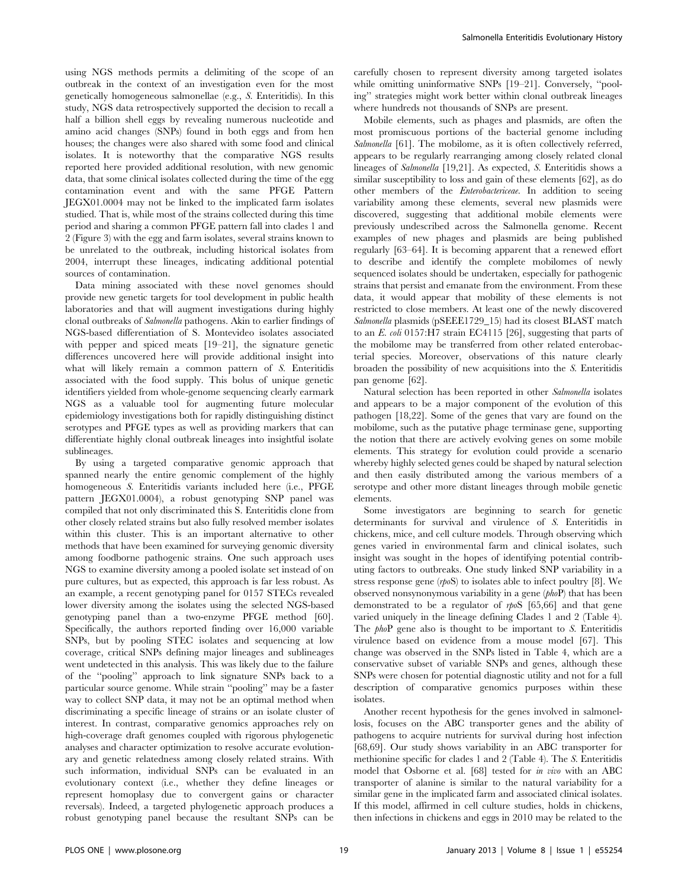using NGS methods permits a delimiting of the scope of an outbreak in the context of an investigation even for the most genetically homogeneous salmonellae (e.g., S. Enteritidis). In this study, NGS data retrospectively supported the decision to recall a half a billion shell eggs by revealing numerous nucleotide and amino acid changes (SNPs) found in both eggs and from hen houses; the changes were also shared with some food and clinical isolates. It is noteworthy that the comparative NGS results reported here provided additional resolution, with new genomic data, that some clinical isolates collected during the time of the egg contamination event and with the same PFGE Pattern JEGX01.0004 may not be linked to the implicated farm isolates studied. That is, while most of the strains collected during this time period and sharing a common PFGE pattern fall into clades 1 and 2 (Figure 3) with the egg and farm isolates, several strains known to be unrelated to the outbreak, including historical isolates from 2004, interrupt these lineages, indicating additional potential sources of contamination.

Data mining associated with these novel genomes should provide new genetic targets for tool development in public health laboratories and that will augment investigations during highly clonal outbreaks of Salmonella pathogens. Akin to earlier findings of NGS-based differentiation of S. Montevideo isolates associated with pepper and spiced meats [19–21], the signature genetic differences uncovered here will provide additional insight into what will likely remain a common pattern of S. Enteritidis associated with the food supply. This bolus of unique genetic identifiers yielded from whole-genome sequencing clearly earmark NGS as a valuable tool for augmenting future molecular epidemiology investigations both for rapidly distinguishing distinct serotypes and PFGE types as well as providing markers that can differentiate highly clonal outbreak lineages into insightful isolate sublineages.

By using a targeted comparative genomic approach that spanned nearly the entire genomic complement of the highly homogeneous S. Enteritidis variants included here (i.e., PFGE pattern JEGX01.0004), a robust genotyping SNP panel was compiled that not only discriminated this S. Enteritidis clone from other closely related strains but also fully resolved member isolates within this cluster. This is an important alternative to other methods that have been examined for surveying genomic diversity among foodborne pathogenic strains. One such approach uses NGS to examine diversity among a pooled isolate set instead of on pure cultures, but as expected, this approach is far less robust. As an example, a recent genotyping panel for 0157 STECs revealed lower diversity among the isolates using the selected NGS-based genotyping panel than a two-enzyme PFGE method [60]. Specifically, the authors reported finding over 16,000 variable SNPs, but by pooling STEC isolates and sequencing at low coverage, critical SNPs defining major lineages and sublineages went undetected in this analysis. This was likely due to the failure of the ''pooling'' approach to link signature SNPs back to a particular source genome. While strain ''pooling'' may be a faster way to collect SNP data, it may not be an optimal method when discriminating a specific lineage of strains or an isolate cluster of interest. In contrast, comparative genomics approaches rely on high-coverage draft genomes coupled with rigorous phylogenetic analyses and character optimization to resolve accurate evolutionary and genetic relatedness among closely related strains. With such information, individual SNPs can be evaluated in an evolutionary context (i.e., whether they define lineages or represent homoplasy due to convergent gains or character reversals). Indeed, a targeted phylogenetic approach produces a robust genotyping panel because the resultant SNPs can be

carefully chosen to represent diversity among targeted isolates while omitting uninformative SNPs [19–21]. Conversely, "pooling'' strategies might work better within clonal outbreak lineages where hundreds not thousands of SNPs are present.

Mobile elements, such as phages and plasmids, are often the most promiscuous portions of the bacterial genome including Salmonella [61]. The mobilome, as it is often collectively referred, appears to be regularly rearranging among closely related clonal lineages of Salmonella [19,21]. As expected, S. Enteritidis shows a similar susceptibility to loss and gain of these elements [62], as do other members of the Enterobactericeae. In addition to seeing variability among these elements, several new plasmids were discovered, suggesting that additional mobile elements were previously undescribed across the Salmonella genome. Recent examples of new phages and plasmids are being published regularly [63–64]. It is becoming apparent that a renewed effort to describe and identify the complete mobilomes of newly sequenced isolates should be undertaken, especially for pathogenic strains that persist and emanate from the environment. From these data, it would appear that mobility of these elements is not restricted to close members. At least one of the newly discovered Salmonella plasmids (pSEEE1729\_15) had its closest BLAST match to an E. coli 0157:H7 strain EC4115 [26], suggesting that parts of the mobilome may be transferred from other related enterobacterial species. Moreover, observations of this nature clearly broaden the possibility of new acquisitions into the S. Enteritidis pan genome [62].

Natural selection has been reported in other Salmonella isolates and appears to be a major component of the evolution of this pathogen [18,22]. Some of the genes that vary are found on the mobilome, such as the putative phage terminase gene, supporting the notion that there are actively evolving genes on some mobile elements. This strategy for evolution could provide a scenario whereby highly selected genes could be shaped by natural selection and then easily distributed among the various members of a serotype and other more distant lineages through mobile genetic elements.

Some investigators are beginning to search for genetic determinants for survival and virulence of S. Enteritidis in chickens, mice, and cell culture models. Through observing which genes varied in environmental farm and clinical isolates, such insight was sought in the hopes of identifying potential contributing factors to outbreaks. One study linked SNP variability in a stress response gene  $(rpoS)$  to isolates able to infect poultry [8]. We observed nonsynonymous variability in a gene (phoP) that has been demonstrated to be a regulator of rpoS [65,66] and that gene varied uniquely in the lineage defining Clades 1 and 2 (Table 4). The *phoP* gene also is thought to be important to S. Enteritidis virulence based on evidence from a mouse model [67]. This change was observed in the SNPs listed in Table 4, which are a conservative subset of variable SNPs and genes, although these SNPs were chosen for potential diagnostic utility and not for a full description of comparative genomics purposes within these isolates.

Another recent hypothesis for the genes involved in salmonellosis, focuses on the ABC transporter genes and the ability of pathogens to acquire nutrients for survival during host infection [68,69]. Our study shows variability in an ABC transporter for methionine specific for clades 1 and 2 (Table 4). The S. Enteritidis model that Osborne et al. [68] tested for in vivo with an ABC transporter of alanine is similar to the natural variability for a similar gene in the implicated farm and associated clinical isolates. If this model, affirmed in cell culture studies, holds in chickens, then infections in chickens and eggs in 2010 may be related to the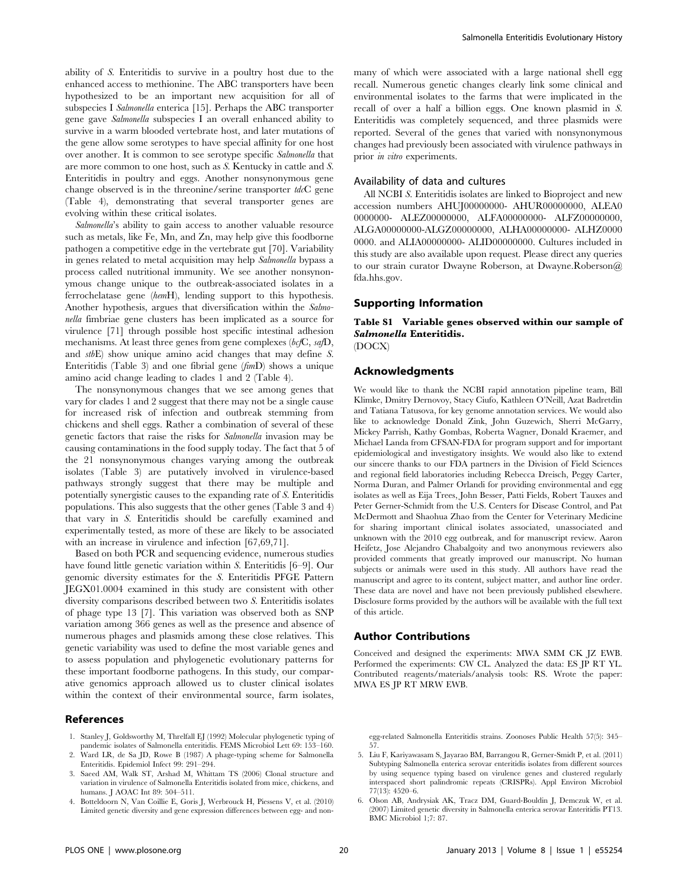ability of S. Enteritidis to survive in a poultry host due to the enhanced access to methionine. The ABC transporters have been hypothesized to be an important new acquisition for all of subspecies I Salmonella enterica [15]. Perhaps the ABC transporter gene gave Salmonella subspecies I an overall enhanced ability to survive in a warm blooded vertebrate host, and later mutations of the gene allow some serotypes to have special affinity for one host over another. It is common to see serotype specific Salmonella that are more common to one host, such as S. Kentucky in cattle and S. Enteritidis in poultry and eggs. Another nonsynonymous gene change observed is in the threonine/serine transporter  $tdcC$  gene (Table 4), demonstrating that several transporter genes are evolving within these critical isolates.

Salmonella's ability to gain access to another valuable resource such as metals, like Fe, Mn, and Zn, may help give this foodborne pathogen a competitive edge in the vertebrate gut [70]. Variability in genes related to metal acquisition may help Salmonella bypass a process called nutritional immunity. We see another nonsynonymous change unique to the outbreak-associated isolates in a ferrochelatase gene (hemH), lending support to this hypothesis. Another hypothesis, argues that diversification within the Salmonella fimbriae gene clusters has been implicated as a source for virulence [71] through possible host specific intestinal adhesion mechanisms. At least three genes from gene complexes ( $bcfC$ ,  $safD$ , and stbE) show unique amino acid changes that may define S. Enteritidis (Table 3) and one fibrial gene  $(fimD)$  shows a unique amino acid change leading to clades 1 and 2 (Table 4).

The nonsynonymous changes that we see among genes that vary for clades 1 and 2 suggest that there may not be a single cause for increased risk of infection and outbreak stemming from chickens and shell eggs. Rather a combination of several of these genetic factors that raise the risks for Salmonella invasion may be causing contaminations in the food supply today. The fact that 5 of the 21 nonsynonymous changes varying among the outbreak isolates (Table 3) are putatively involved in virulence-based pathways strongly suggest that there may be multiple and potentially synergistic causes to the expanding rate of S. Enteritidis populations. This also suggests that the other genes (Table 3 and 4) that vary in S. Enteritidis should be carefully examined and experimentally tested, as more of these are likely to be associated with an increase in virulence and infection [67,69,71].

Based on both PCR and sequencing evidence, numerous studies have found little genetic variation within S. Enteritidis [6–9]. Our genomic diversity estimates for the S. Enteritidis PFGE Pattern JEGX01.0004 examined in this study are consistent with other diversity comparisons described between two S. Enteritidis isolates of phage type 13 [7]. This variation was observed both as SNP variation among 366 genes as well as the presence and absence of numerous phages and plasmids among these close relatives. This genetic variability was used to define the most variable genes and to assess population and phylogenetic evolutionary patterns for these important foodborne pathogens. In this study, our comparative genomics approach allowed us to cluster clinical isolates within the context of their environmental source, farm isolates,

#### References

- 1. Stanley J, Goldsworthy M, Threlfall EJ (1992) Molecular phylogenetic typing of pandemic isolates of Salmonella enteritidis. FEMS Microbiol Lett 69: 153–160.
- 2. Ward LR, de Sa JD, Rowe B (1987) A phage-typing scheme for Salmonella Enteritidis. Epidemiol Infect 99: 291–294.
- 3. Saeed AM, Walk ST, Arshad M, Whittam TS (2006) Clonal structure and variation in virulence of Salmonella Enteritidis isolated from mice, chickens, and humans. J AOAC Int 89: 504–511.
- 4. Botteldoorn N, Van Coillie E, Goris J, Werbrouck H, Piessens V, et al. (2010) Limited genetic diversity and gene expression differences between egg- and non-

many of which were associated with a large national shell egg recall. Numerous genetic changes clearly link some clinical and environmental isolates to the farms that were implicated in the recall of over a half a billion eggs. One known plasmid in S. Enteritidis was completely sequenced, and three plasmids were reported. Several of the genes that varied with nonsynonymous changes had previously been associated with virulence pathways in prior in vitro experiments.

#### Availability of data and cultures

All NCBI S. Enteritidis isolates are linked to Bioproject and new accession numbers AHUJ00000000- AHUR00000000, ALEA0 0000000- ALEZ00000000, ALFA00000000- ALFZ00000000, ALGA00000000-ALGZ00000000, ALHA00000000- ALHZ0000 0000. and ALIA00000000- ALID00000000. Cultures included in this study are also available upon request. Please direct any queries to our strain curator Dwayne Roberson, at Dwayne.Roberson@ fda.hhs.gov.

# Supporting Information

Table S1 Variable genes observed within our sample of Salmonella Enteritidis. (DOCX)

# Acknowledgments

We would like to thank the NCBI rapid annotation pipeline team, Bill Klimke, Dmitry Dernovoy, Stacy Ciufo, Kathleen O'Neill, Azat Badretdin and Tatiana Tatusova, for key genome annotation services. We would also like to acknowledge Donald Zink, John Guzewich, Sherri McGarry, Mickey Parrish, Kathy Gombas, Roberta Wagner, Donald Kraemer, and Michael Landa from CFSAN-FDA for program support and for important epidemiological and investigatory insights. We would also like to extend our sincere thanks to our FDA partners in the Division of Field Sciences and regional field laboratories including Rebecca Dreisch, Peggy Carter, Norma Duran, and Palmer Orlandi for providing environmental and egg isolates as well as Eija Trees, John Besser, Patti Fields, Robert Tauxes and Peter Gerner-Schmidt from the U.S. Centers for Disease Control, and Pat McDermott and Shaohua Zhao from the Center for Veterinary Medicine for sharing important clinical isolates associated, unassociated and unknown with the 2010 egg outbreak, and for manuscript review. Aaron Heifetz, Jose Alejandro Chabalgoity and two anonymous reviewers also provided comments that greatly improved our manuscript. No human subjects or animals were used in this study. All authors have read the manuscript and agree to its content, subject matter, and author line order. These data are novel and have not been previously published elsewhere. Disclosure forms provided by the authors will be available with the full text of this article.

#### Author Contributions

Conceived and designed the experiments: MWA SMM CK JZ EWB. Performed the experiments: CW CL. Analyzed the data: ES JP RT YL. Contributed reagents/materials/analysis tools: RS. Wrote the paper: MWA ES JP RT MRW EWB.

egg-related Salmonella Enteritidis strains. Zoonoses Public Health 57(5): 345– 57.

5. Liu F, Kariyawasam S, Jayarao BM, Barrangou R, Gerner-Smidt P, et al. (2011) Subtyping Salmonella enterica serovar enteritidis isolates from different sources by using sequence typing based on virulence genes and clustered regularly interspaced short palindromic repeats (CRISPRs). Appl Environ Microbiol 77(13): 4520–6.

6. Olson AB, Andrysiak AK, Tracz DM, Guard-Bouldin J, Demczuk W, et al. (2007) Limited genetic diversity in Salmonella enterica serovar Enteritidis PT13. BMC Microbiol 1;7: 87.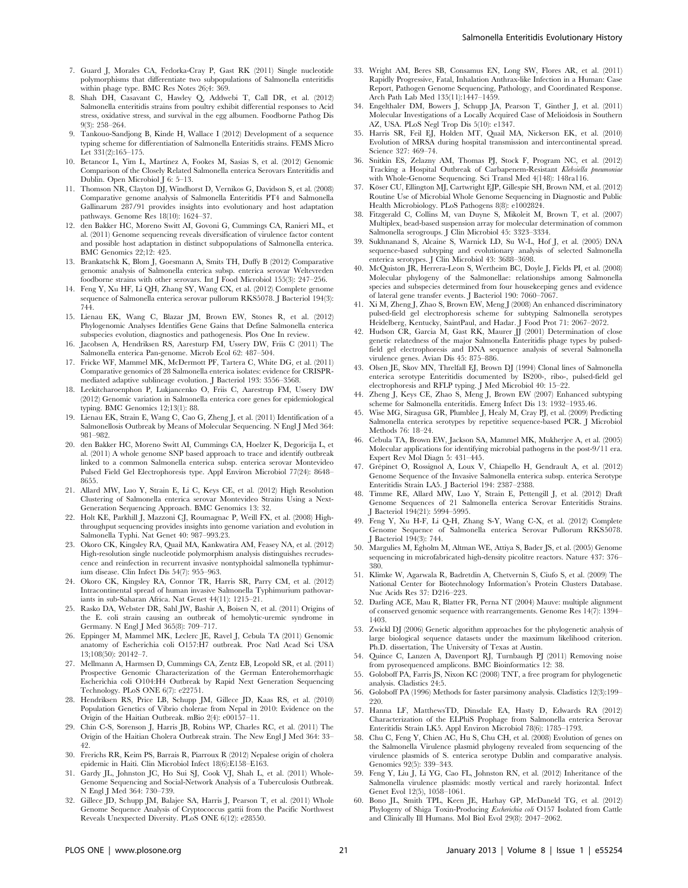- 7. Guard J, Morales CA, Fedorka-Cray P, Gast RK (2011) Single nucleotide polymorphisms that differentiate two subpopulations of Salmonella enteritidis within phage type. BMC Res Notes 26;4: 369.
- 8. Shah DH, Casavant C, Hawley Q, Addwebi T, Call DR, et al. (2012) Salmonella enteritidis strains from poultry exhibit differential responses to Acid stress, oxidative stress, and survival in the egg albumen. Foodborne Pathog Dis 9(3): 258–264.
- 9. Tankouo-Sandjong B, Kinde H, Wallace I (2012) Development of a sequence typing scheme for differentiation of Salmonella Enteritidis strains. FEMS Micro Let 331(2):165–175.
- 10. Betancor L, Yim L, Martínez A, Fookes M, Sasias S, et al. (2012) Genomic Comparison of the Closely Related Salmonella enterica Serovars Enteritidis and Dublin. Open Microbiol J 6: 5–13.
- 11. Thomson NR, Clayton DJ, Windhorst D, Vernikos G, Davidson S, et al. (2008) Comparative genome analysis of Salmonella Enteritidis PT4 and Salmonella Gallinarum 287/91 provides insights into evolutionary and host adaptation pathways. Genome Res 18(10): 1624–37.
- 12. den Bakker HC, Moreno Switt AI, Govoni G, Cummings CA, Ranieri ML, et al. (2011) Genome sequencing reveals diversification of virulence factor content and possible host adaptation in distinct subpopulations of Salmonella enterica. BMC Genomics 22;12: 425.
- 13. Brankatschk K, Blom J, Goesmann A, Smits TH, Duffy B (2012) Comparative genomic analysis of Salmonella enterica subsp. enterica serovar Weltevreden foodborne strains with other serovars. Int J Food Microbiol 155(3): 247–256.
- 14. Feng Y, Xu HF, Li QH, Zhang SY, Wang CX, et al. (2012) Complete genome sequence of Salmonella enterica serovar pullorum RKS5078. J Bacteriol 194(3): 744.
- 15. Lienau EK, Wang C, Blazar JM, Brown EW, Stones R, et al. (2012) Phylogenomic Analyses Identifies Gene Gains that Define Salmonella enterica subspecies evolution, diagnostics and pathogenesis. Plos One In review.
- 16. Jacobsen A, Hendriksen RS, Aaresturp FM, Ussery DW, Friis C (2011) The Salmonella enterica Pan-genome. Microb Ecol 62: 487–504.
- 17. Fricke WF, Mammel MK, McDermott PF, Tartera C, White DG, et al. (2011) Comparative genomics of 28 Salmonella enterica isolates: evidence for CRISPRmediated adaptive sublineage evolution. J Bacteriol 193: 3556–3568.
- 18. Leekitcharoenphon P, Lukjancenko O, Friis C, Aarestrup FM, Ussery DW (2012) Genomic variation in Salmonella enterica core genes for epidemiological typing. BMC Genomics 12;13(1): 88.
- 19. Lienau EK, Strain E, Wang C, Cao G, Zheng J, et al. (2011) Identification of a Salmonellosis Outbreak by Means of Molecular Sequencing. N Engl J Med 364: 981–982.
- 20. den Bakker HC, Moreno Switt AI, Cummings CA, Hoelzer K, Degoricija L, et al. (2011) A whole genome SNP based approach to trace and identify outbreak linked to a common Salmonella enterica subsp. enterica serovar Montevideo Pulsed Field Gel Electrophoresis type. Appl Environ Microbiol 77(24): 8648– 8655.
- 21. Allard MW, Luo Y, Strain E, Li C, Keys CE, et al. (2012) High Resolution Clustering of Salmonella enterica serovar Montevideo Strains Using a Next-Generation Sequencing Approach. BMC Genomics 13: 32.
- 22. Holt KE, Parkhill J, Mazzoni CJ, Roumagnac P, Weill FX, et al. (2008) Highthroughput sequencing provides insights into genome variation and evolution in Salmonella Typhi. Nat Genet 40: 987–993.23.
- 23. Okoro CK, Kingsley RA, Quail MA, Kankwatira AM, Feasey NA, et al. (2012) High-resolution single nucleotide polymorphism analysis distinguishes recrudescence and reinfection in recurrent invasive nontyphoidal salmonella typhimurium disease. Clin Infect Dis 54(7): 955–963.
- 24. Okoro CK, Kingsley RA, Connor TR, Harris SR, Parry CM, et al. (2012) Intracontinental spread of human invasive Salmonella Typhimurium pathovariants in sub-Saharan Africa. Nat Genet 44(11): 1215–21.
- 25. Rasko DA, Webster DR, Sahl JW, Bashir A, Boisen N, et al. (2011) Origins of the E. coli strain causing an outbreak of hemolytic-uremic syndrome in Germany. N Engl J Med 365(8): 709–717.
- 26. Eppinger M, Mammel MK, Leclerc JE, Ravel J, Cebula TA (2011) Genomic anatomy of Escherichia coli O157:H7 outbreak. Proc Natl Acad Sci USA 13;108(50): 20142–7.
- 27. Mellmann A, Harmsen D, Cummings CA, Zentz EB, Leopold SR, et al. (2011) Prospective Genomic Characterization of the German Enterohemorrhagic Escherichia coli O104:H4 Outbreak by Rapid Next Generation Sequencing Technology. PLoS ONE 6(7): e22751.
- 28. Hendriksen RS, Price LB, Schupp JM, Gillece JD, Kaas RS, et al. (2010) Population Genetics of Vibrio cholerae from Nepal in 2010: Evidence on the Origin of the Haitian Outbreak. mBio 2(4): e00157–11.
- 29. Chin C-S, Sorenson J, Harris JB, Robins WP, Charles RC, et al. (2011) The Origin of the Haitian Cholera Outbreak strain. The New Engl J Med 364: 33– 49
- 30. Frerichs RR, Keim PS, Barrais R, Piarroux R (2012) Nepalese origin of cholera epidemic in Haiti. Clin Microbiol Infect 18(6):E158–E163.
- 31. Gardy JL, Johnston JC, Ho Sui SJ, Cook VJ, Shah L, et al. (2011) Whole-Genome Sequencing and Social-Network Analysis of a Tuberculosis Outbreak. N Engl J Med 364: 730–739.
- 32. Gillece JD, Schupp JM, Balajee SA, Harris J, Pearson T, et al. (2011) Whole Genome Sequence Analysis of Cryptococcus gattii from the Pacific Northwest Reveals Unexpected Diversity. PLoS ONE 6(12): e28550.
- 33. Wright AM, Beres SB, Consamus EN, Long SW, Flores AR, et al. (2011) Rapidly Progressive, Fatal, Inhalation Anthrax-like Infection in a Human: Case Report, Pathogen Genome Sequencing, Pathology, and Coordinated Response. Arch Path Lab Med 135(11):1447–1459.
- 34. Engelthaler DM, Bowers J, Schupp JA, Pearson T, Ginther J, et al. (2011) Molecular Investigations of a Locally Acquired Case of Melioidosis in Southern AZ, USA. PLoS Negl Trop Dis 5(10): e1347.
- 35. Harris SR, Feil EJ, Holden MT, Quail MA, Nickerson EK, et al. (2010) Evolution of MRSA during hospital transmission and intercontinental spread. Science 327: 469–74.
- 36. Snitkin ES, Zelazny AM, Thomas PJ, Stock F, Program NC, et al. (2012) Tracking a Hospital Outbreak of Carbapenem-Resistant Klebsiella pneumoniae with Whole-Genome Sequencing. Sci Transl Med 4(148): 148ra116.
- 37. Köser CU, Ellington MJ, Cartwright EJP, Gillespie SH, Brown NM, et al. (2012) Routine Use of Microbial Whole Genome Sequencing in Diagnostic and Public Health Microbiology. PLoS Pathogens 8(8): e1002824.
- 38. Fitzgerald C, Collins M, van Duyne S, Mikoleit M, Brown T, et al. (2007) Multiplex, bead-based suspension array for molecular determination of common Salmonella serogroups. J Clin Microbiol 45: 3323–3334.
- 39. Sukhnanand S, Alcaine S, Warnick LD, Su W-L, Hof J, et al. (2005) DNA sequence-based subtyping and evolutionary analysis of selected Salmonella enterica serotypes. J Clin Microbiol 43: 3688–3698.
- 40. McQuiston JR, Herrera-Leon S, Wertheim BC, Doyle J, Fields PI, et al. (2008) Molecular phylogeny of the Salmonellae: relationships among Salmonella species and subspecies determined from four housekeeping genes and evidence of lateral gene transfer events. J Bacteriol 190: 7060–7067.
- 41. Xi M, Zheng J, Zhao S, Brown EW, Meng J (2008) An enhanced discriminatory pulsed-field gel electrophoresis scheme for subtyping Salmonella serotypes Heidelberg, Kentucky, SaintPaul, and Hadar. J Food Prot 71: 2067-2072.
- 42. Hudson CR, Garcia M, Gast RK, Maurer JJ (2001) Determination of close genetic relatedness of the major Salmonella Enteritidis phage types by pulsedfield gel electrophoresis and DNA sequence analysis of several Salmonella virulence genes. Avian Dis 45: 875–886.
- 43. Olsen JE, Skov MN, Threlfall EJ, Brown DJ (1994) Clonal lines of Salmonella enterica serotype Enteritidis documented by IS200-, ribo-, pulsed-field gel electrophoresis and RFLP typing. J Med Microbiol 40: 15–22.
- 44. Zheng J, Keys CE, Zhao S, Meng J, Brown EW (2007) Enhanced subtyping scheme for Salmonella enteritidis. Emerg Infect Dis 13: 1932–1935.46.
- 45. Wise MG, Siragusa GR, Plumblee J, Healy M, Cray PJ, et al. (2009) Predicting Salmonella enterica serotypes by repetitive sequence-based PCR. J Microbiol Methods 76: 18–24.
- 46. Cebula TA, Brown EW, Jackson SA, Mammel MK, Mukherjee A, et al. (2005) Molecular applications for identifying microbial pathogens in the post-9/11 era. Expert Rev Mol Diagn 5: 431–445.
- 47. Grépinet O, Rossignol A, Loux V, Chiapello H, Gendrault A, et al. (2012) Genome Sequence of the Invasive Salmonella enterica subsp. enterica Serotype Enteritidis Strain LA5. J Bacteriol 194: 2387–2388.
- 48. Timme RE, Allard MW, Luo Y, Strain E, Pettengill J, et al. (2012) Draft Genome Sequences of 21 Salmonella enterica Serovar Enteritidis Strains. J Bacteriol 194(21): 5994–5995.
- 49. Feng Y, Xu H-F, Li Q-H, Zhang S-Y, Wang C-X, et al. (2012) Complete Genome Sequence of Salmonella enterica Serovar Pullorum RKS5078. J Bacteriol 194(3): 744.
- 50. Margulies M, Egholm M, Altman WE, Attiya S, Bader JS, et al. (2005) Genome sequencing in microfabricated high-density picolitre reactors. Nature 437: 376– 380.
- 51. Klimke W, Agarwala R, Badretdin A, Chetvernin S, Ciufo S, et al. (2009) The National Center for Biotechnology Information's Protein Clusters Database. Nuc Acids Res 37: D216–223.
- 52. Darling ACE, Mau R, Blatter FR, Perna NT (2004) Mauve: multiple alignment of conserved genomic sequence with rearrangements. Genome Res 14(7): 1394– 1403.
- 53. Zwickl DJ (2006) Genetic algorithm approaches for the phylogenetic analysis of large biological sequence datasets under the maximum likelihood criterion. Ph.D. dissertation, The University of Texas at Austin.
- 54. Quince C, Lanzen A, Davenport RJ, Turnbaugh PJ (2011) Removing noise from pyrosequenced amplicons. BMC Bioinformatics 12: 38.
- 55. Goloboff PA, Farris JS, Nixon KC (2008) TNT, a free program for phylogenetic analysis. Cladistics 24:5.
- 56. Goloboff PA (1996) Methods for faster parsimony analysis. Cladistics 12(3):199– 220.
- 57. Hanna LF, MatthewsTD, Dinsdale EA, Hasty D, Edwards RA (2012) Characterization of the ELPhiS Prophage from Salmonella enterica Serovar Enteritidis Strain LK5. Appl Environ Microbiol 78(6): 1785–1793.
- 58. Chu C, Feng Y, Chien AC, Hu S, Chu CH, et al. (2008) Evolution of genes on the Salmonella Virulence plasmid phylogeny revealed from sequencing of the virulence plasmids of S. enterica serotype Dublin and comparative analysis. Genomics 92(5): 339–343.
- 59. Feng Y, Liu J, Li YG, Cao FL, Johnston RN, et al. (2012) Inheritance of the Salmonella virulence plasmids: mostly vertical and rarely horizontal. Infect Genet Evol 12(5), 1058–1061.
- 60. Bono JL, Smith TPL, Keen JE, Harhay GP, McDaneld TG, et al. (2012) Phylogeny of Shiga Toxin-Producing Escherichia coli O157 Isolated from Cattle and Clinically Ill Humans. Mol Biol Evol 29(8): 2047–2062.